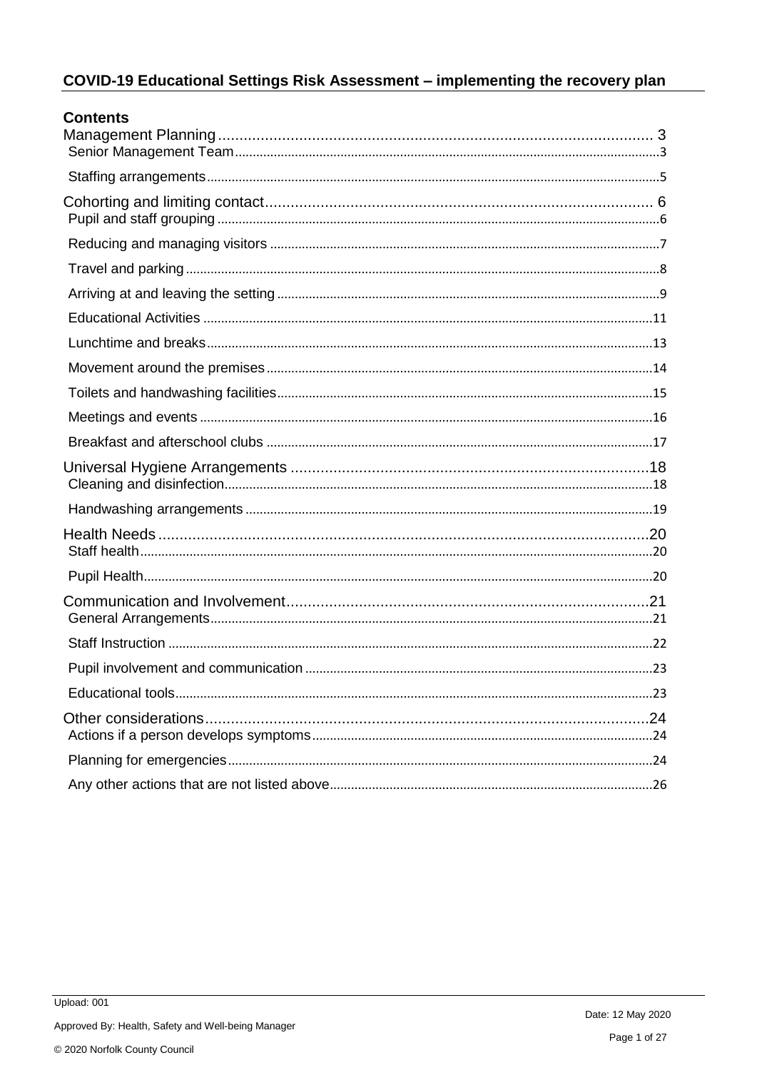# COVID-19 Educational Settings Risk Assessment - implementing the recovery plan

| <b>Contents</b> |  |
|-----------------|--|
|                 |  |
|                 |  |
|                 |  |
|                 |  |
|                 |  |
|                 |  |
|                 |  |
|                 |  |
|                 |  |
|                 |  |
|                 |  |
|                 |  |
|                 |  |
|                 |  |
|                 |  |
|                 |  |
|                 |  |
|                 |  |
|                 |  |
|                 |  |
|                 |  |
|                 |  |
|                 |  |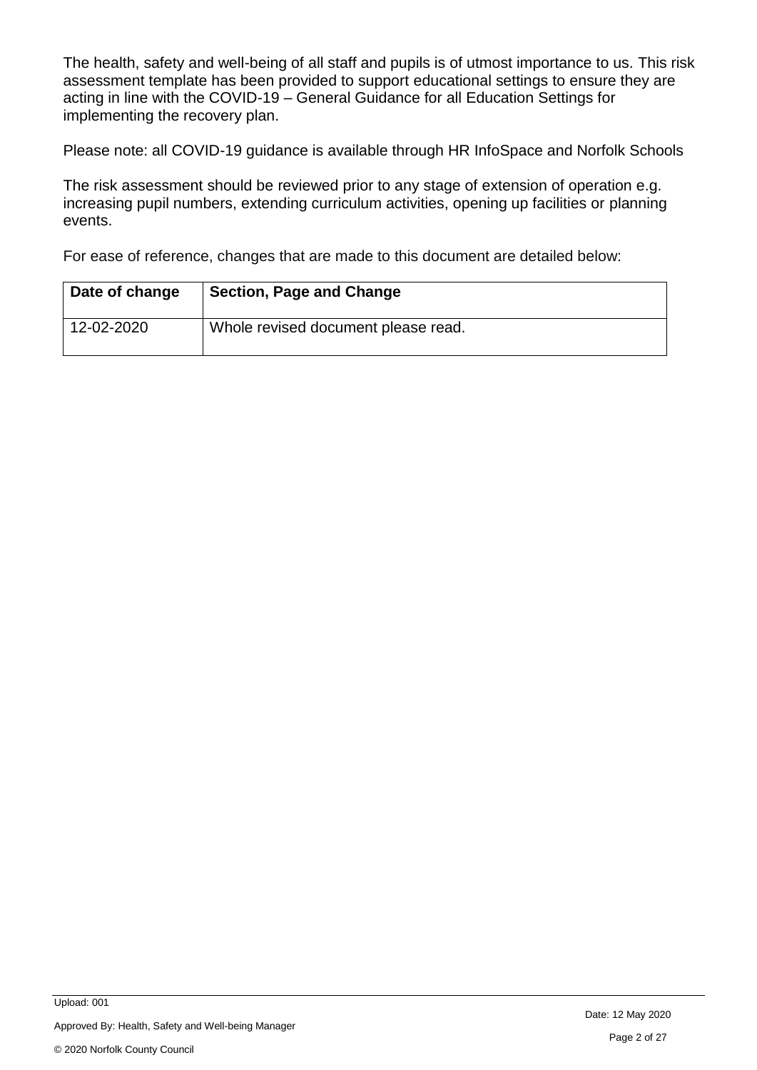The health, safety and well-being of all staff and pupils is of utmost importance to us. This risk assessment template has been provided to support educational settings to ensure they are acting in line with the COVID-19 – General Guidance for all Education Settings for implementing the recovery plan.

Please note: all COVID-19 guidance is available through HR InfoSpace and Norfolk Schools

The risk assessment should be reviewed prior to any stage of extension of operation e.g. increasing pupil numbers, extending curriculum activities, opening up facilities or planning events.

For ease of reference, changes that are made to this document are detailed below:

| Date of change | <b>Section, Page and Change</b>     |
|----------------|-------------------------------------|
| 12-02-2020     | Whole revised document please read. |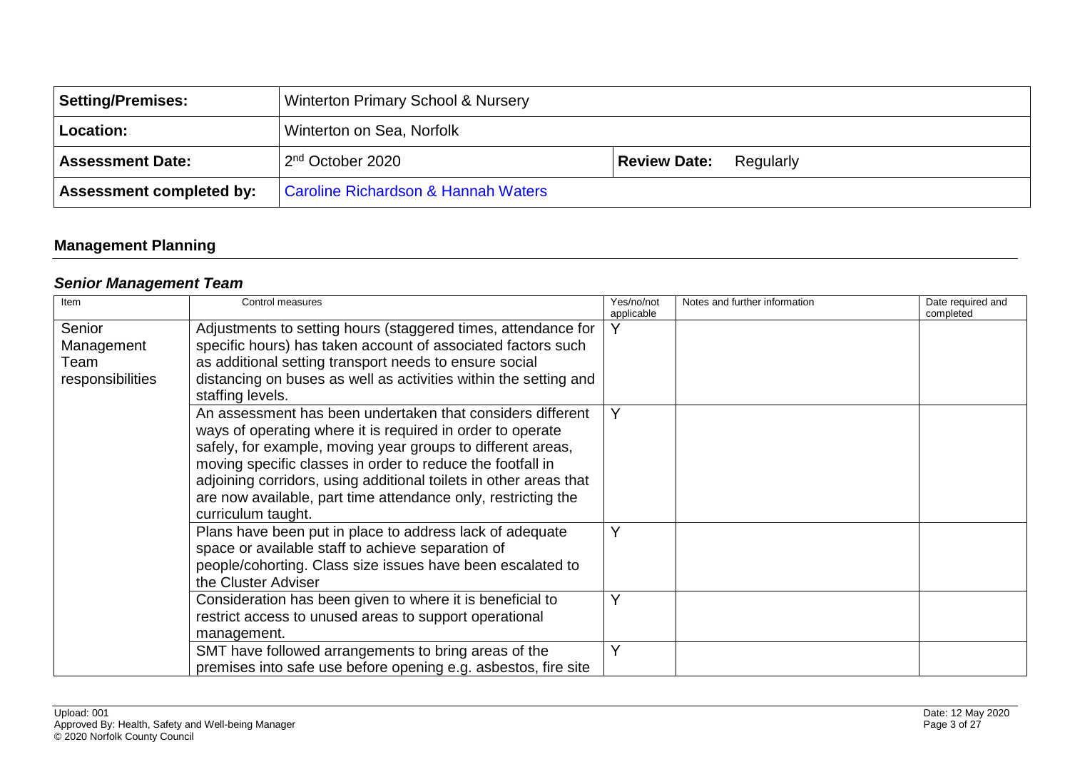| Setting/Premises:               | Winterton Primary School & Nursery             |                                  |
|---------------------------------|------------------------------------------------|----------------------------------|
| Location:                       | Winterton on Sea, Norfolk                      |                                  |
| <b>Assessment Date:</b>         | 2 <sup>nd</sup> October 2020                   | <b>Review Date:</b><br>Regularly |
| <b>Assessment completed by:</b> | <b>Caroline Richardson &amp; Hannah Waters</b> |                                  |

## **Management Planning**

## *Senior Management Team*

<span id="page-2-1"></span><span id="page-2-0"></span>

| Item                                             | Control measures                                                                                                                                                                                                                                                                                                                                                                                                  | Yes/no/not<br>applicable | Notes and further information | Date required and<br>completed |
|--------------------------------------------------|-------------------------------------------------------------------------------------------------------------------------------------------------------------------------------------------------------------------------------------------------------------------------------------------------------------------------------------------------------------------------------------------------------------------|--------------------------|-------------------------------|--------------------------------|
| Senior<br>Management<br>Team<br>responsibilities | Adjustments to setting hours (staggered times, attendance for<br>specific hours) has taken account of associated factors such<br>as additional setting transport needs to ensure social<br>distancing on buses as well as activities within the setting and<br>staffing levels.                                                                                                                                   | v                        |                               |                                |
|                                                  | An assessment has been undertaken that considers different<br>ways of operating where it is required in order to operate<br>safely, for example, moving year groups to different areas,<br>moving specific classes in order to reduce the footfall in<br>adjoining corridors, using additional toilets in other areas that<br>are now available, part time attendance only, restricting the<br>curriculum taught. |                          |                               |                                |
|                                                  | Plans have been put in place to address lack of adequate<br>space or available staff to achieve separation of<br>people/cohorting. Class size issues have been escalated to<br>the Cluster Adviser                                                                                                                                                                                                                | v                        |                               |                                |
|                                                  | Consideration has been given to where it is beneficial to<br>restrict access to unused areas to support operational<br>management.                                                                                                                                                                                                                                                                                |                          |                               |                                |
|                                                  | SMT have followed arrangements to bring areas of the<br>premises into safe use before opening e.g. asbestos, fire site                                                                                                                                                                                                                                                                                            |                          |                               |                                |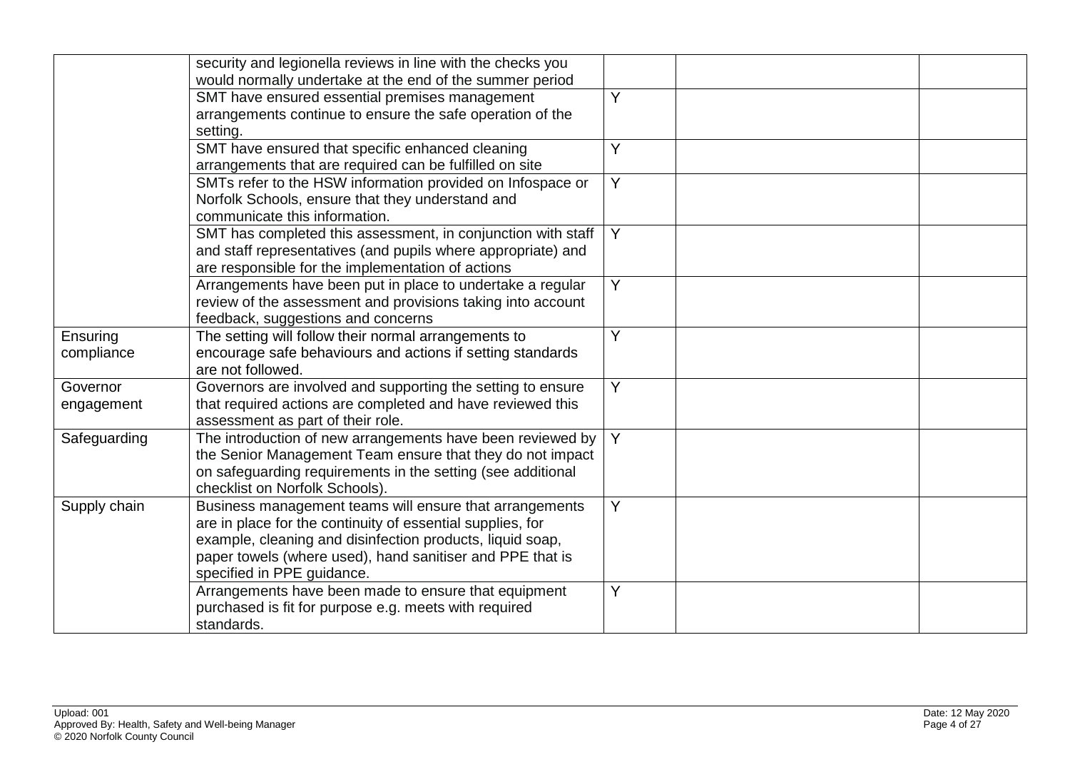|              | security and legionella reviews in line with the checks you                                                           |                |  |
|--------------|-----------------------------------------------------------------------------------------------------------------------|----------------|--|
|              | would normally undertake at the end of the summer period                                                              |                |  |
|              | SMT have ensured essential premises management                                                                        | $\overline{Y}$ |  |
|              | arrangements continue to ensure the safe operation of the                                                             |                |  |
|              | setting.                                                                                                              |                |  |
|              | SMT have ensured that specific enhanced cleaning                                                                      | Y              |  |
|              | arrangements that are required can be fulfilled on site                                                               |                |  |
|              | SMTs refer to the HSW information provided on Infospace or                                                            | Y              |  |
|              | Norfolk Schools, ensure that they understand and                                                                      |                |  |
|              | communicate this information.                                                                                         |                |  |
|              | SMT has completed this assessment, in conjunction with staff                                                          | Y              |  |
|              | and staff representatives (and pupils where appropriate) and                                                          |                |  |
|              | are responsible for the implementation of actions                                                                     |                |  |
|              | Arrangements have been put in place to undertake a regular                                                            | $\overline{Y}$ |  |
|              | review of the assessment and provisions taking into account                                                           |                |  |
|              | feedback, suggestions and concerns                                                                                    |                |  |
| Ensuring     | The setting will follow their normal arrangements to                                                                  | Y              |  |
| compliance   | encourage safe behaviours and actions if setting standards                                                            |                |  |
|              | are not followed.                                                                                                     |                |  |
| Governor     | Governors are involved and supporting the setting to ensure                                                           | Y              |  |
| engagement   | that required actions are completed and have reviewed this                                                            |                |  |
|              | assessment as part of their role.                                                                                     |                |  |
| Safeguarding | The introduction of new arrangements have been reviewed by                                                            | Y              |  |
|              | the Senior Management Team ensure that they do not impact                                                             |                |  |
|              | on safeguarding requirements in the setting (see additional<br>checklist on Norfolk Schools)                          |                |  |
|              |                                                                                                                       | Y              |  |
| Supply chain | Business management teams will ensure that arrangements<br>are in place for the continuity of essential supplies, for |                |  |
|              | example, cleaning and disinfection products, liquid soap,                                                             |                |  |
|              | paper towels (where used), hand sanitiser and PPE that is                                                             |                |  |
|              | specified in PPE guidance.                                                                                            |                |  |
|              | Arrangements have been made to ensure that equipment                                                                  | Y              |  |
|              | purchased is fit for purpose e.g. meets with required                                                                 |                |  |
|              | standards.                                                                                                            |                |  |
|              |                                                                                                                       |                |  |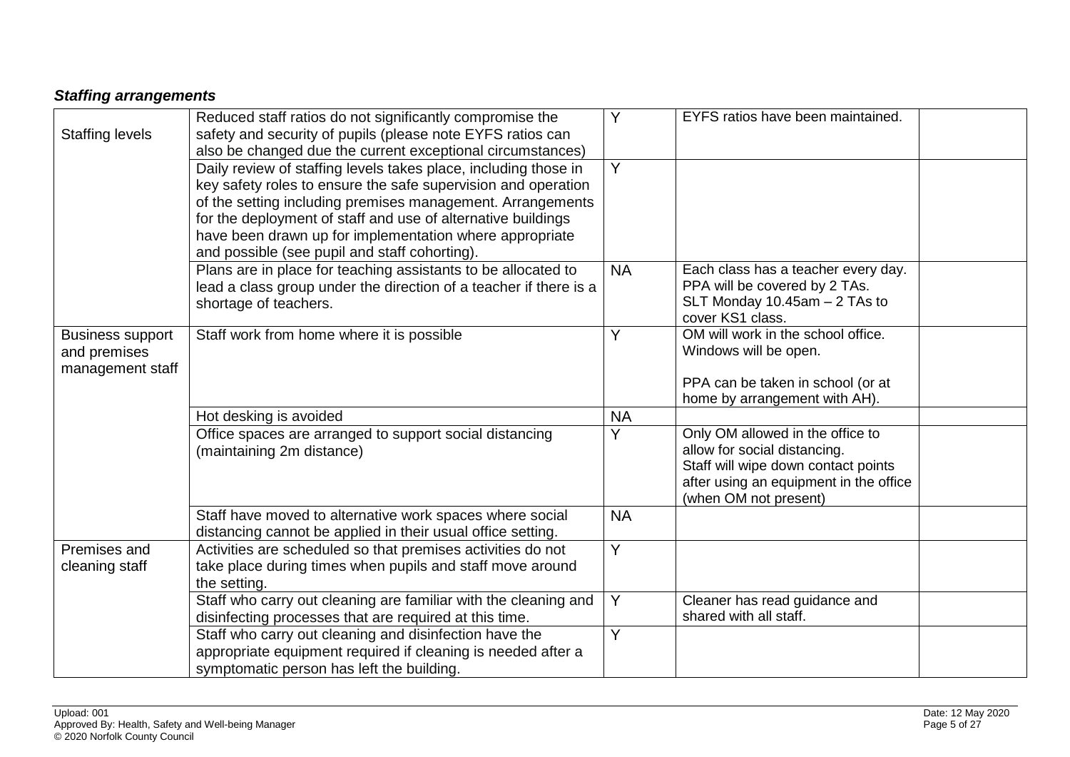# *Staffing arrangements*

<span id="page-4-0"></span>

| <b>Staffing levels</b>                                      | Reduced staff ratios do not significantly compromise the<br>safety and security of pupils (please note EYFS ratios can<br>also be changed due the current exceptional circumstances)                                                                                                                                                                                       | Y              | EYFS ratios have been maintained.                                                                                                                                          |  |
|-------------------------------------------------------------|----------------------------------------------------------------------------------------------------------------------------------------------------------------------------------------------------------------------------------------------------------------------------------------------------------------------------------------------------------------------------|----------------|----------------------------------------------------------------------------------------------------------------------------------------------------------------------------|--|
|                                                             | Daily review of staffing levels takes place, including those in<br>key safety roles to ensure the safe supervision and operation<br>of the setting including premises management. Arrangements<br>for the deployment of staff and use of alternative buildings<br>have been drawn up for implementation where appropriate<br>and possible (see pupil and staff cohorting). | $\overline{Y}$ |                                                                                                                                                                            |  |
|                                                             | Plans are in place for teaching assistants to be allocated to<br>lead a class group under the direction of a teacher if there is a<br>shortage of teachers.                                                                                                                                                                                                                | <b>NA</b>      | Each class has a teacher every day.<br>PPA will be covered by 2 TAs.<br>SLT Monday $10.45$ am $-2$ TAs to<br>cover KS1 class.                                              |  |
| <b>Business support</b><br>and premises<br>management staff | Staff work from home where it is possible                                                                                                                                                                                                                                                                                                                                  | Y              | OM will work in the school office.<br>Windows will be open.<br>PPA can be taken in school (or at<br>home by arrangement with AH).                                          |  |
|                                                             | Hot desking is avoided                                                                                                                                                                                                                                                                                                                                                     | <b>NA</b>      |                                                                                                                                                                            |  |
|                                                             | Office spaces are arranged to support social distancing<br>(maintaining 2m distance)                                                                                                                                                                                                                                                                                       | Y              | Only OM allowed in the office to<br>allow for social distancing.<br>Staff will wipe down contact points<br>after using an equipment in the office<br>(when OM not present) |  |
|                                                             | Staff have moved to alternative work spaces where social<br>distancing cannot be applied in their usual office setting.                                                                                                                                                                                                                                                    | <b>NA</b>      |                                                                                                                                                                            |  |
| Premises and<br>cleaning staff                              | Activities are scheduled so that premises activities do not<br>take place during times when pupils and staff move around<br>the setting.                                                                                                                                                                                                                                   | $\overline{Y}$ |                                                                                                                                                                            |  |
|                                                             | Staff who carry out cleaning are familiar with the cleaning and<br>disinfecting processes that are required at this time.                                                                                                                                                                                                                                                  | Y              | Cleaner has read guidance and<br>shared with all staff.                                                                                                                    |  |
|                                                             | Staff who carry out cleaning and disinfection have the<br>appropriate equipment required if cleaning is needed after a<br>symptomatic person has left the building.                                                                                                                                                                                                        | Y              |                                                                                                                                                                            |  |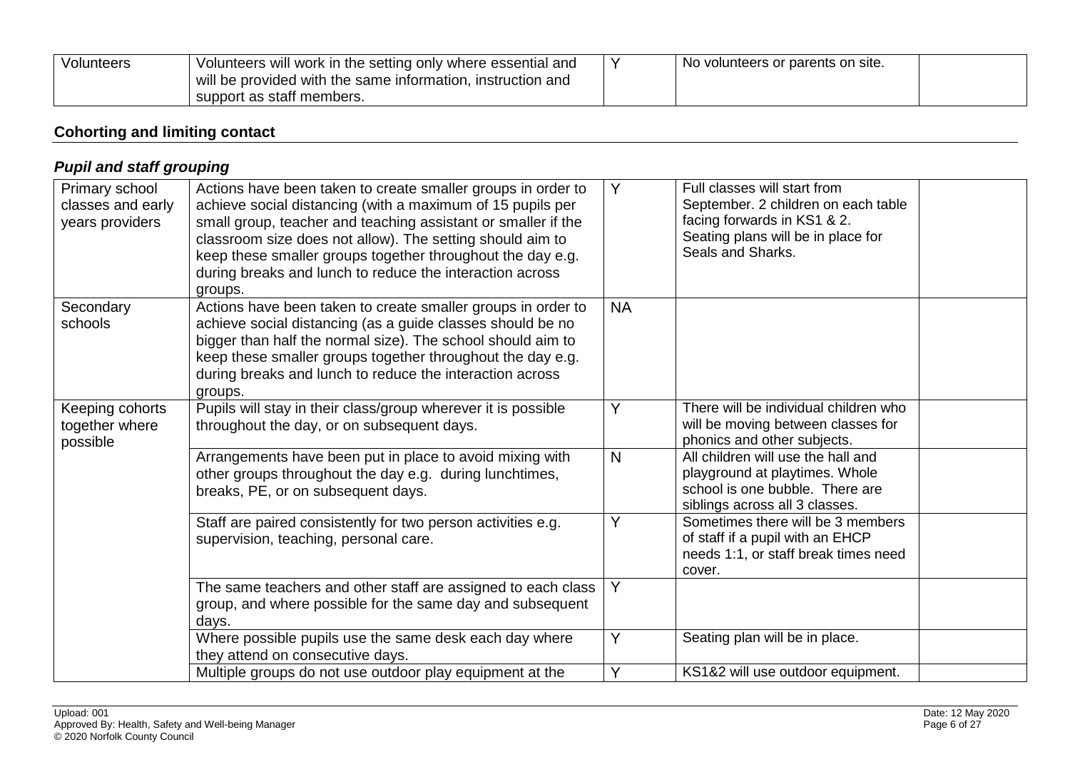| Volunteers | Volunteers will work in the setting only where essential and<br>will be provided with the same information, instruction and | No volunteers or parents on site. |  |
|------------|-----------------------------------------------------------------------------------------------------------------------------|-----------------------------------|--|
|            | support as staff members.                                                                                                   |                                   |  |

## **Cohorting and limiting contact**

<span id="page-5-1"></span><span id="page-5-0"></span>

| <b>Pupil and staff grouping</b>                        |                                                                                                                                                                                                                                                                                                                                                                                               |              |                                                                                                                                                               |  |
|--------------------------------------------------------|-----------------------------------------------------------------------------------------------------------------------------------------------------------------------------------------------------------------------------------------------------------------------------------------------------------------------------------------------------------------------------------------------|--------------|---------------------------------------------------------------------------------------------------------------------------------------------------------------|--|
| Primary school<br>classes and early<br>years providers | Actions have been taken to create smaller groups in order to<br>achieve social distancing (with a maximum of 15 pupils per<br>small group, teacher and teaching assistant or smaller if the<br>classroom size does not allow). The setting should aim to<br>keep these smaller groups together throughout the day e.g.<br>during breaks and lunch to reduce the interaction across<br>groups. | Y            | Full classes will start from<br>September. 2 children on each table<br>facing forwards in KS1 & 2.<br>Seating plans will be in place for<br>Seals and Sharks. |  |
| Secondary<br>schools                                   | Actions have been taken to create smaller groups in order to<br>achieve social distancing (as a guide classes should be no<br>bigger than half the normal size). The school should aim to<br>keep these smaller groups together throughout the day e.g.<br>during breaks and lunch to reduce the interaction across<br>groups.                                                                | <b>NA</b>    |                                                                                                                                                               |  |
| Keeping cohorts<br>together where<br>possible          | Pupils will stay in their class/group wherever it is possible<br>throughout the day, or on subsequent days.                                                                                                                                                                                                                                                                                   | Y            | There will be individual children who<br>will be moving between classes for<br>phonics and other subjects.                                                    |  |
|                                                        | Arrangements have been put in place to avoid mixing with<br>other groups throughout the day e.g. during lunchtimes,<br>breaks, PE, or on subsequent days.                                                                                                                                                                                                                                     | $\mathsf{N}$ | All children will use the hall and<br>playground at playtimes. Whole<br>school is one bubble. There are<br>siblings across all 3 classes.                     |  |
|                                                        | Staff are paired consistently for two person activities e.g.<br>supervision, teaching, personal care.                                                                                                                                                                                                                                                                                         | Y            | Sometimes there will be 3 members<br>of staff if a pupil with an EHCP<br>needs 1:1, or staff break times need<br>cover.                                       |  |
|                                                        | The same teachers and other staff are assigned to each class<br>group, and where possible for the same day and subsequent<br>days.                                                                                                                                                                                                                                                            | Y            |                                                                                                                                                               |  |
|                                                        | Where possible pupils use the same desk each day where<br>they attend on consecutive days.                                                                                                                                                                                                                                                                                                    | Y            | Seating plan will be in place.                                                                                                                                |  |
|                                                        | Multiple groups do not use outdoor play equipment at the                                                                                                                                                                                                                                                                                                                                      | Y            | KS1&2 will use outdoor equipment.                                                                                                                             |  |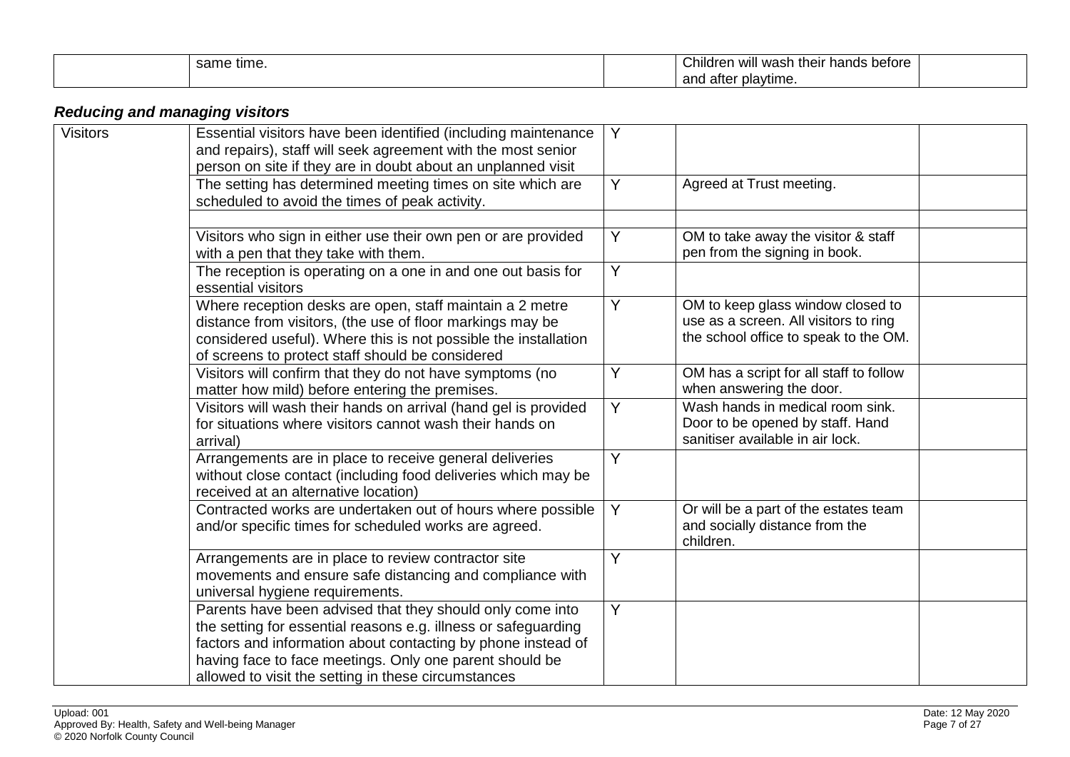| me time. | $\sim$<br>: betore<br>hildrer<br>wash<br>hands<br>their<br>will<br>us. |  |
|----------|------------------------------------------------------------------------|--|
|          | and after playtime.                                                    |  |

# *Reducing and managing visitors*

<span id="page-6-0"></span>

| <b>Visitors</b> | Essential visitors have been identified (including maintenance<br>and repairs), staff will seek agreement with the most senior<br>person on site if they are in doubt about an unplanned visit                                                                                                                | Y |                                                                                                                     |
|-----------------|---------------------------------------------------------------------------------------------------------------------------------------------------------------------------------------------------------------------------------------------------------------------------------------------------------------|---|---------------------------------------------------------------------------------------------------------------------|
|                 | The setting has determined meeting times on site which are<br>scheduled to avoid the times of peak activity.                                                                                                                                                                                                  | Y | Agreed at Trust meeting.                                                                                            |
|                 |                                                                                                                                                                                                                                                                                                               |   |                                                                                                                     |
|                 | Visitors who sign in either use their own pen or are provided<br>with a pen that they take with them.                                                                                                                                                                                                         | Y | OM to take away the visitor & staff<br>pen from the signing in book.                                                |
|                 | The reception is operating on a one in and one out basis for<br>essential visitors                                                                                                                                                                                                                            | Y |                                                                                                                     |
|                 | Where reception desks are open, staff maintain a 2 metre<br>distance from visitors, (the use of floor markings may be<br>considered useful). Where this is not possible the installation<br>of screens to protect staff should be considered                                                                  | Y | OM to keep glass window closed to<br>use as a screen. All visitors to ring<br>the school office to speak to the OM. |
|                 | Visitors will confirm that they do not have symptoms (no<br>matter how mild) before entering the premises.                                                                                                                                                                                                    | Y | OM has a script for all staff to follow<br>when answering the door.                                                 |
|                 | Visitors will wash their hands on arrival (hand gel is provided<br>for situations where visitors cannot wash their hands on<br>arrival)                                                                                                                                                                       | Y | Wash hands in medical room sink.<br>Door to be opened by staff. Hand<br>sanitiser available in air lock.            |
|                 | Arrangements are in place to receive general deliveries<br>without close contact (including food deliveries which may be<br>received at an alternative location)                                                                                                                                              | Y |                                                                                                                     |
|                 | Contracted works are undertaken out of hours where possible<br>and/or specific times for scheduled works are agreed.                                                                                                                                                                                          | Y | Or will be a part of the estates team<br>and socially distance from the<br>children.                                |
|                 | Arrangements are in place to review contractor site<br>movements and ensure safe distancing and compliance with<br>universal hygiene requirements.                                                                                                                                                            | Y |                                                                                                                     |
|                 | Parents have been advised that they should only come into<br>the setting for essential reasons e.g. illness or safeguarding<br>factors and information about contacting by phone instead of<br>having face to face meetings. Only one parent should be<br>allowed to visit the setting in these circumstances | Y |                                                                                                                     |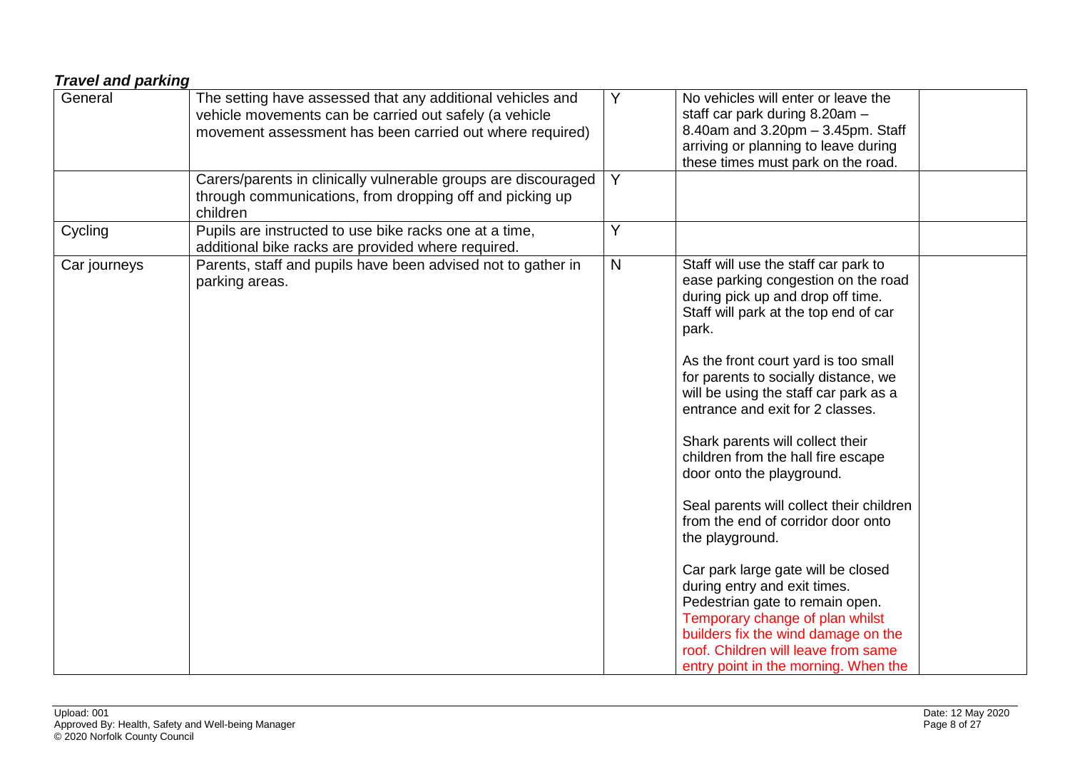<span id="page-7-0"></span>

| No vehicles will enter or leave the<br>staff car park during 8.20am -<br>8.40am and 3.20pm - 3.45pm. Staff<br>arriving or planning to leave during<br>these times must park on the road.                                                                                                                                                                                                                                                                                                                                                                                                                                                                                                                                                  |
|-------------------------------------------------------------------------------------------------------------------------------------------------------------------------------------------------------------------------------------------------------------------------------------------------------------------------------------------------------------------------------------------------------------------------------------------------------------------------------------------------------------------------------------------------------------------------------------------------------------------------------------------------------------------------------------------------------------------------------------------|
|                                                                                                                                                                                                                                                                                                                                                                                                                                                                                                                                                                                                                                                                                                                                           |
|                                                                                                                                                                                                                                                                                                                                                                                                                                                                                                                                                                                                                                                                                                                                           |
| Staff will use the staff car park to<br>ease parking congestion on the road<br>during pick up and drop off time.<br>Staff will park at the top end of car<br>As the front court yard is too small<br>for parents to socially distance, we<br>will be using the staff car park as a<br>entrance and exit for 2 classes.<br>Shark parents will collect their<br>children from the hall fire escape<br>door onto the playground.<br>Seal parents will collect their children<br>from the end of corridor door onto<br>Car park large gate will be closed<br>during entry and exit times.<br>Pedestrian gate to remain open.<br>Temporary change of plan whilst<br>builders fix the wind damage on the<br>roof. Children will leave from same |
| entry point in the morning. When the                                                                                                                                                                                                                                                                                                                                                                                                                                                                                                                                                                                                                                                                                                      |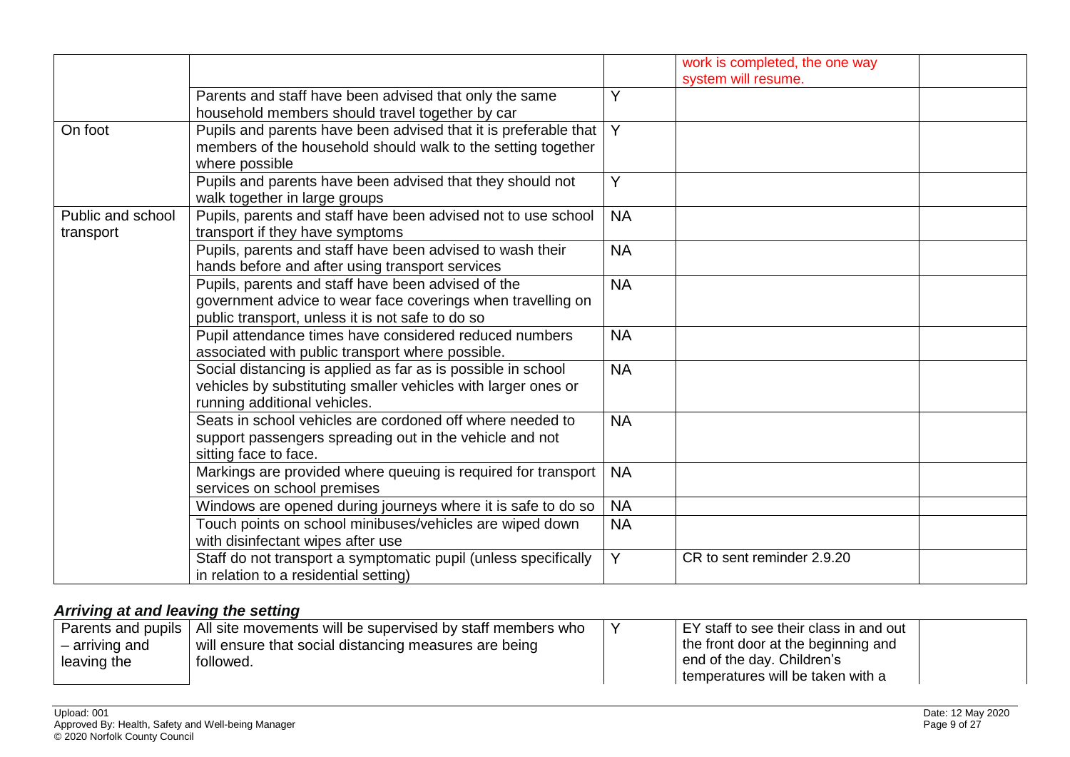|                   |                                                                 |           | work is completed, the one way |  |
|-------------------|-----------------------------------------------------------------|-----------|--------------------------------|--|
|                   |                                                                 |           | system will resume.            |  |
|                   | Parents and staff have been advised that only the same          | Y         |                                |  |
|                   | household members should travel together by car                 |           |                                |  |
| On foot           | Pupils and parents have been advised that it is preferable that | Y         |                                |  |
|                   | members of the household should walk to the setting together    |           |                                |  |
|                   | where possible                                                  |           |                                |  |
|                   | Pupils and parents have been advised that they should not       | Y         |                                |  |
|                   | walk together in large groups                                   |           |                                |  |
| Public and school | Pupils, parents and staff have been advised not to use school   | <b>NA</b> |                                |  |
| transport         | transport if they have symptoms                                 |           |                                |  |
|                   | Pupils, parents and staff have been advised to wash their       | <b>NA</b> |                                |  |
|                   | hands before and after using transport services                 |           |                                |  |
|                   | Pupils, parents and staff have been advised of the              | <b>NA</b> |                                |  |
|                   | government advice to wear face coverings when travelling on     |           |                                |  |
|                   | public transport, unless it is not safe to do so                |           |                                |  |
|                   | Pupil attendance times have considered reduced numbers          | <b>NA</b> |                                |  |
|                   | associated with public transport where possible.                |           |                                |  |
|                   | Social distancing is applied as far as is possible in school    | <b>NA</b> |                                |  |
|                   | vehicles by substituting smaller vehicles with larger ones or   |           |                                |  |
|                   | running additional vehicles.                                    |           |                                |  |
|                   | Seats in school vehicles are cordoned off where needed to       | <b>NA</b> |                                |  |
|                   | support passengers spreading out in the vehicle and not         |           |                                |  |
|                   | sitting face to face.                                           |           |                                |  |
|                   | Markings are provided where queuing is required for transport   | <b>NA</b> |                                |  |
|                   | services on school premises                                     |           |                                |  |
|                   | Windows are opened during journeys where it is safe to do so    | <b>NA</b> |                                |  |
|                   | Touch points on school minibuses/vehicles are wiped down        | <b>NA</b> |                                |  |
|                   | with disinfectant wipes after use                               |           |                                |  |
|                   | Staff do not transport a symptomatic pupil (unless specifically | Y         | CR to sent reminder 2.9.20     |  |
|                   | in relation to a residential setting)                           |           |                                |  |

## *Arriving at and leaving the setting*

<span id="page-8-0"></span>

|                | Parents and pupils $\mid$ All site movements will be supervised by staff members who | I EY staff to see their class in and out |
|----------------|--------------------------------------------------------------------------------------|------------------------------------------|
| – arriving and | will ensure that social distancing measures are being                                | the front door at the beginning and      |
| leaving the    | followed.                                                                            | end of the day. Children's               |
|                |                                                                                      | temperatures will be taken with a        |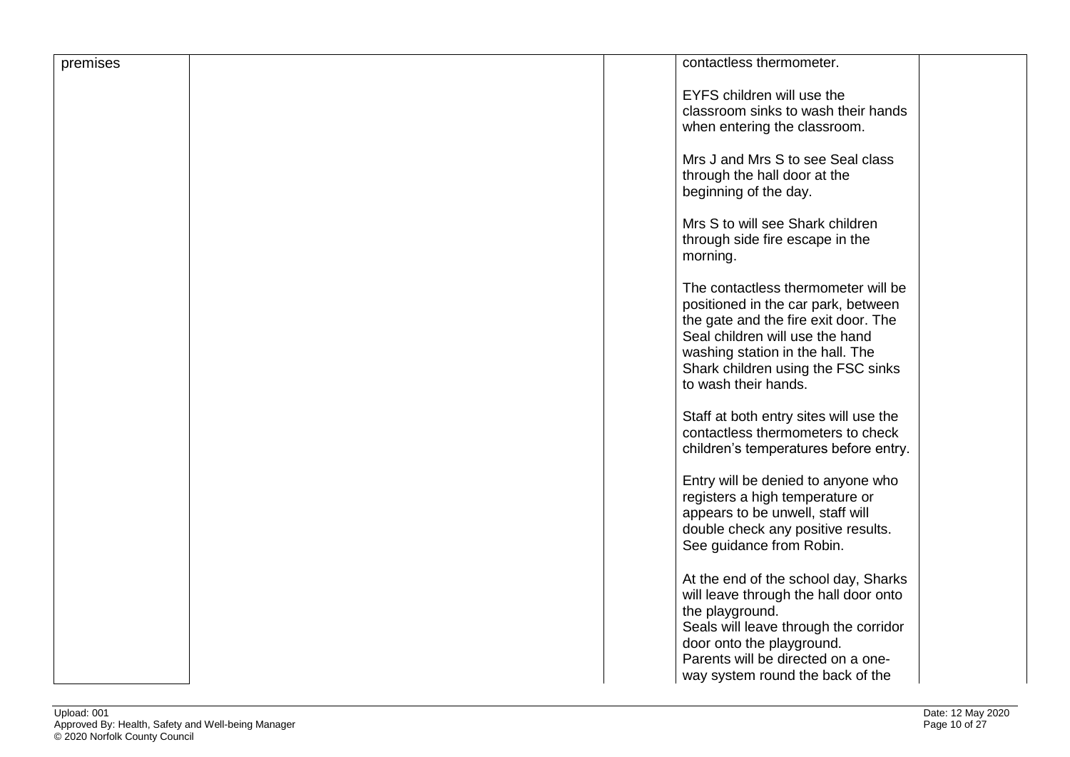| premises | contactless thermometer.                                                                                                                                                                                                                                |  |
|----------|---------------------------------------------------------------------------------------------------------------------------------------------------------------------------------------------------------------------------------------------------------|--|
|          | EYFS children will use the<br>classroom sinks to wash their hands<br>when entering the classroom.                                                                                                                                                       |  |
|          | Mrs J and Mrs S to see Seal class<br>through the hall door at the<br>beginning of the day.                                                                                                                                                              |  |
|          | Mrs S to will see Shark children<br>through side fire escape in the<br>morning.                                                                                                                                                                         |  |
|          | The contactless thermometer will be<br>positioned in the car park, between<br>the gate and the fire exit door. The<br>Seal children will use the hand<br>washing station in the hall. The<br>Shark children using the FSC sinks<br>to wash their hands. |  |
|          | Staff at both entry sites will use the<br>contactless thermometers to check<br>children's temperatures before entry.                                                                                                                                    |  |
|          | Entry will be denied to anyone who<br>registers a high temperature or<br>appears to be unwell, staff will<br>double check any positive results.<br>See guidance from Robin.                                                                             |  |
|          | At the end of the school day, Sharks<br>will leave through the hall door onto<br>the playground.<br>Seals will leave through the corridor<br>door onto the playground.<br>Parents will be directed on a one-<br>way system round the back of the        |  |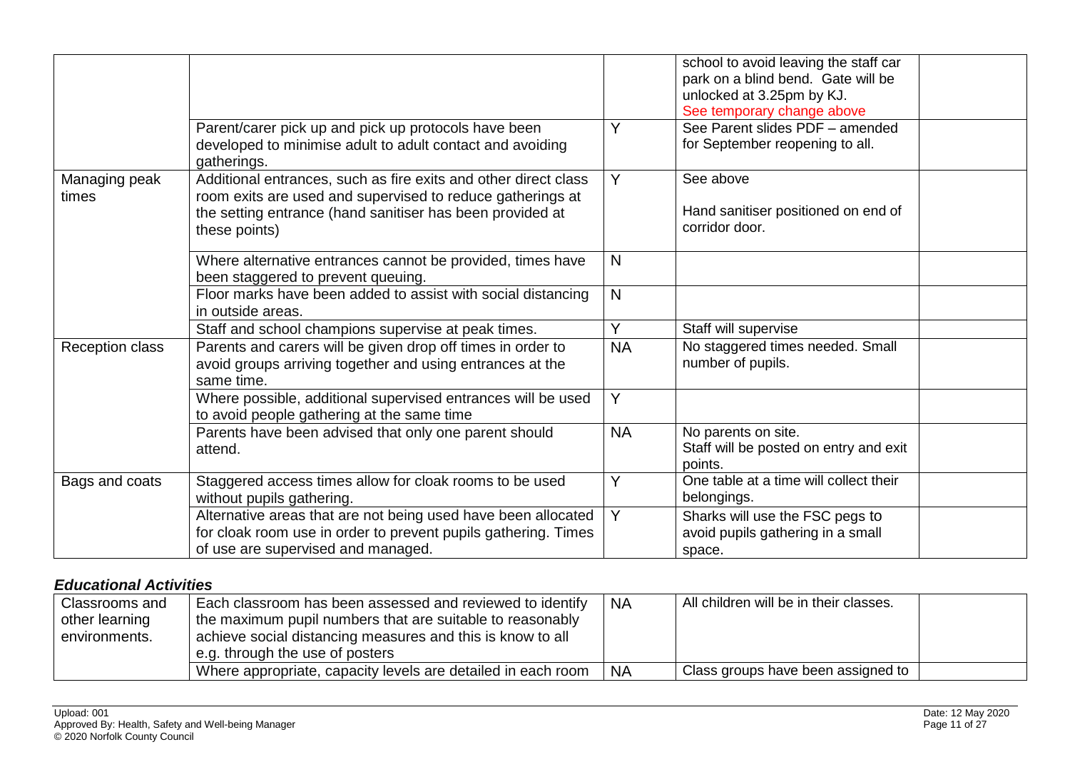|                        |                                                                                                                                                                                                             |           | school to avoid leaving the staff car<br>park on a blind bend. Gate will be<br>unlocked at 3.25pm by KJ.<br>See temporary change above |  |
|------------------------|-------------------------------------------------------------------------------------------------------------------------------------------------------------------------------------------------------------|-----------|----------------------------------------------------------------------------------------------------------------------------------------|--|
|                        | Parent/carer pick up and pick up protocols have been<br>developed to minimise adult to adult contact and avoiding<br>gatherings.                                                                            | Y         | See Parent slides PDF - amended<br>for September reopening to all.                                                                     |  |
| Managing peak<br>times | Additional entrances, such as fire exits and other direct class<br>room exits are used and supervised to reduce gatherings at<br>the setting entrance (hand sanitiser has been provided at<br>these points) | Y         | See above<br>Hand sanitiser positioned on end of<br>corridor door.                                                                     |  |
|                        | Where alternative entrances cannot be provided, times have<br>been staggered to prevent queuing.                                                                                                            | N         |                                                                                                                                        |  |
|                        | Floor marks have been added to assist with social distancing<br>in outside areas.                                                                                                                           | N         |                                                                                                                                        |  |
|                        | Staff and school champions supervise at peak times.                                                                                                                                                         | Y         | Staff will supervise                                                                                                                   |  |
| Reception class        | Parents and carers will be given drop off times in order to<br>avoid groups arriving together and using entrances at the<br>same time.                                                                      | <b>NA</b> | No staggered times needed. Small<br>number of pupils.                                                                                  |  |
|                        | Where possible, additional supervised entrances will be used<br>to avoid people gathering at the same time                                                                                                  | Y         |                                                                                                                                        |  |
|                        | Parents have been advised that only one parent should<br>attend.                                                                                                                                            | <b>NA</b> | No parents on site.<br>Staff will be posted on entry and exit<br>points.                                                               |  |
| Bags and coats         | Staggered access times allow for cloak rooms to be used<br>without pupils gathering.                                                                                                                        | Y         | One table at a time will collect their<br>belongings.                                                                                  |  |
|                        | Alternative areas that are not being used have been allocated<br>for cloak room use in order to prevent pupils gathering. Times<br>of use are supervised and managed.                                       | Y         | Sharks will use the FSC pegs to<br>avoid pupils gathering in a small<br>space.                                                         |  |

#### *Educational Activities*

<span id="page-10-0"></span>

| Classrooms and<br>other learning<br>environments. | Each classroom has been assessed and reviewed to identify<br>the maximum pupil numbers that are suitable to reasonably<br>achieve social distancing measures and this is know to all<br>e.g. through the use of posters | <b>NA</b> | All children will be in their classes. |  |
|---------------------------------------------------|-------------------------------------------------------------------------------------------------------------------------------------------------------------------------------------------------------------------------|-----------|----------------------------------------|--|
|                                                   | Where appropriate, capacity levels are detailed in each room                                                                                                                                                            | <b>NA</b> | Class groups have been assigned to     |  |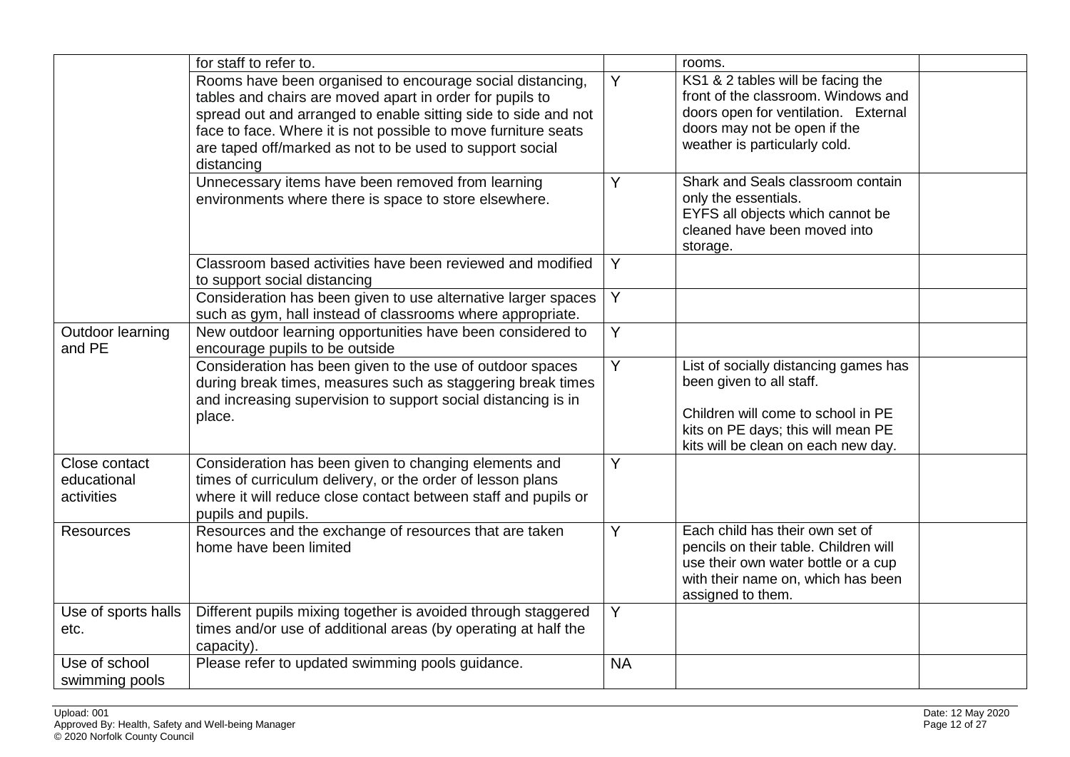|                                            | for staff to refer to.                                                                                                                                                                                                                                                                                                              |                | rooms.                                                                                                                                                                               |  |
|--------------------------------------------|-------------------------------------------------------------------------------------------------------------------------------------------------------------------------------------------------------------------------------------------------------------------------------------------------------------------------------------|----------------|--------------------------------------------------------------------------------------------------------------------------------------------------------------------------------------|--|
|                                            | Rooms have been organised to encourage social distancing,<br>tables and chairs are moved apart in order for pupils to<br>spread out and arranged to enable sitting side to side and not<br>face to face. Where it is not possible to move furniture seats<br>are taped off/marked as not to be used to support social<br>distancing | Y              | KS1 & 2 tables will be facing the<br>front of the classroom. Windows and<br>doors open for ventilation. External<br>doors may not be open if the<br>weather is particularly cold.    |  |
|                                            | Unnecessary items have been removed from learning<br>environments where there is space to store elsewhere.                                                                                                                                                                                                                          | Y              | Shark and Seals classroom contain<br>only the essentials.<br>EYFS all objects which cannot be<br>cleaned have been moved into<br>storage.                                            |  |
|                                            | Classroom based activities have been reviewed and modified<br>to support social distancing                                                                                                                                                                                                                                          | Y              |                                                                                                                                                                                      |  |
|                                            | Consideration has been given to use alternative larger spaces<br>such as gym, hall instead of classrooms where appropriate.                                                                                                                                                                                                         | $\overline{Y}$ |                                                                                                                                                                                      |  |
| Outdoor learning<br>and PE                 | New outdoor learning opportunities have been considered to<br>encourage pupils to be outside                                                                                                                                                                                                                                        | $\overline{Y}$ |                                                                                                                                                                                      |  |
|                                            | Consideration has been given to the use of outdoor spaces<br>during break times, measures such as staggering break times<br>and increasing supervision to support social distancing is in<br>place.                                                                                                                                 | $\overline{Y}$ | List of socially distancing games has<br>been given to all staff.<br>Children will come to school in PE<br>kits on PE days; this will mean PE<br>kits will be clean on each new day. |  |
| Close contact<br>educational<br>activities | Consideration has been given to changing elements and<br>times of curriculum delivery, or the order of lesson plans<br>where it will reduce close contact between staff and pupils or<br>pupils and pupils.                                                                                                                         | Y              |                                                                                                                                                                                      |  |
| <b>Resources</b>                           | Resources and the exchange of resources that are taken<br>home have been limited                                                                                                                                                                                                                                                    | Y              | Each child has their own set of<br>pencils on their table. Children will<br>use their own water bottle or a cup<br>with their name on, which has been<br>assigned to them.           |  |
| Use of sports halls<br>etc.                | Different pupils mixing together is avoided through staggered<br>times and/or use of additional areas (by operating at half the<br>capacity).                                                                                                                                                                                       | Y              |                                                                                                                                                                                      |  |
| Use of school<br>swimming pools            | Please refer to updated swimming pools guidance.                                                                                                                                                                                                                                                                                    | <b>NA</b>      |                                                                                                                                                                                      |  |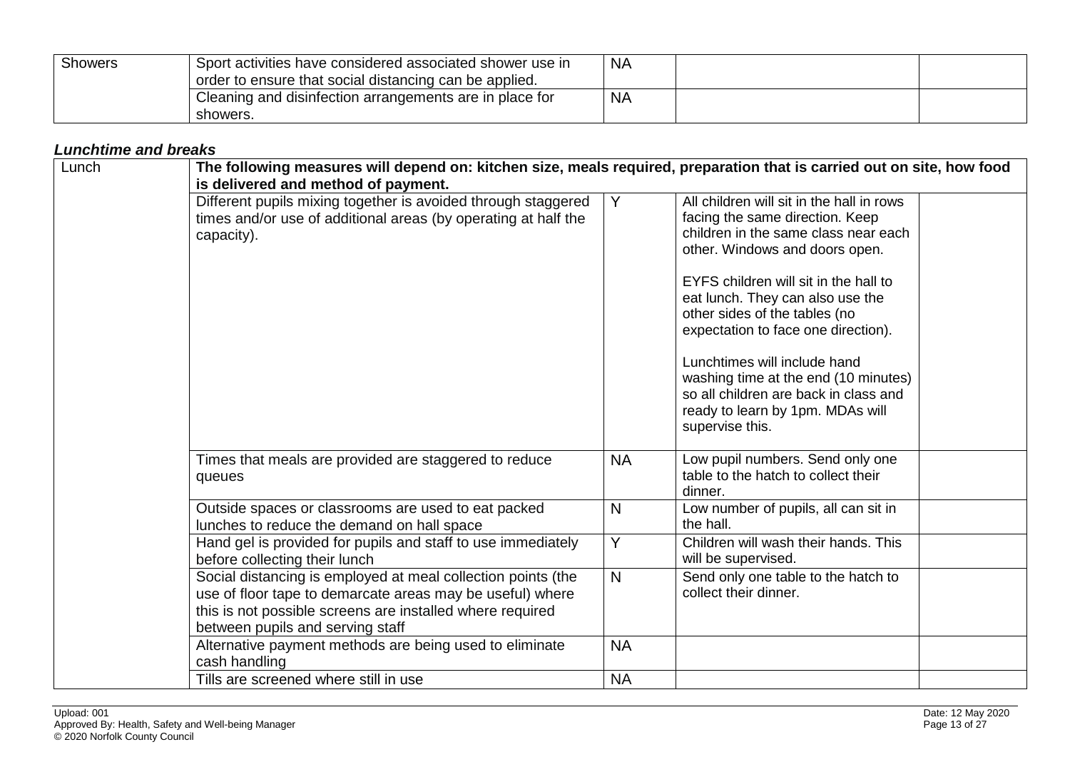| <b>Showers</b> | Sport activities have considered associated shower use in<br>order to ensure that social distancing can be applied. | <b>NA</b> |  |
|----------------|---------------------------------------------------------------------------------------------------------------------|-----------|--|
|                | Cleaning and disinfection arrangements are in place for<br>showers.                                                 | <b>NA</b> |  |

#### *Lunchtime and breaks*

<span id="page-12-0"></span>

| Lunch | The following measures will depend on: kitchen size, meals required, preparation that is carried out on site, how food<br>is delivered and method of payment.                                                              |              |                                                                                                                                                                                                                                                                                                                                                                                                                                                                                     |  |  |
|-------|----------------------------------------------------------------------------------------------------------------------------------------------------------------------------------------------------------------------------|--------------|-------------------------------------------------------------------------------------------------------------------------------------------------------------------------------------------------------------------------------------------------------------------------------------------------------------------------------------------------------------------------------------------------------------------------------------------------------------------------------------|--|--|
|       | Different pupils mixing together is avoided through staggered<br>times and/or use of additional areas (by operating at half the<br>capacity).                                                                              | Y            | All children will sit in the hall in rows<br>facing the same direction. Keep<br>children in the same class near each<br>other. Windows and doors open.<br>EYFS children will sit in the hall to<br>eat lunch. They can also use the<br>other sides of the tables (no<br>expectation to face one direction).<br>Lunchtimes will include hand<br>washing time at the end (10 minutes)<br>so all children are back in class and<br>ready to learn by 1pm. MDAs will<br>supervise this. |  |  |
|       | Times that meals are provided are staggered to reduce<br>queues                                                                                                                                                            | <b>NA</b>    | Low pupil numbers. Send only one<br>table to the hatch to collect their<br>dinner.                                                                                                                                                                                                                                                                                                                                                                                                  |  |  |
|       | Outside spaces or classrooms are used to eat packed<br>lunches to reduce the demand on hall space                                                                                                                          | N            | Low number of pupils, all can sit in<br>the hall.                                                                                                                                                                                                                                                                                                                                                                                                                                   |  |  |
|       | Hand gel is provided for pupils and staff to use immediately<br>before collecting their lunch                                                                                                                              | Ÿ            | Children will wash their hands. This<br>will be supervised.                                                                                                                                                                                                                                                                                                                                                                                                                         |  |  |
|       | Social distancing is employed at meal collection points (the<br>use of floor tape to demarcate areas may be useful) where<br>this is not possible screens are installed where required<br>between pupils and serving staff | $\mathsf{N}$ | Send only one table to the hatch to<br>collect their dinner.                                                                                                                                                                                                                                                                                                                                                                                                                        |  |  |
|       | Alternative payment methods are being used to eliminate<br>cash handling                                                                                                                                                   | <b>NA</b>    |                                                                                                                                                                                                                                                                                                                                                                                                                                                                                     |  |  |
|       | Tills are screened where still in use                                                                                                                                                                                      | <b>NA</b>    |                                                                                                                                                                                                                                                                                                                                                                                                                                                                                     |  |  |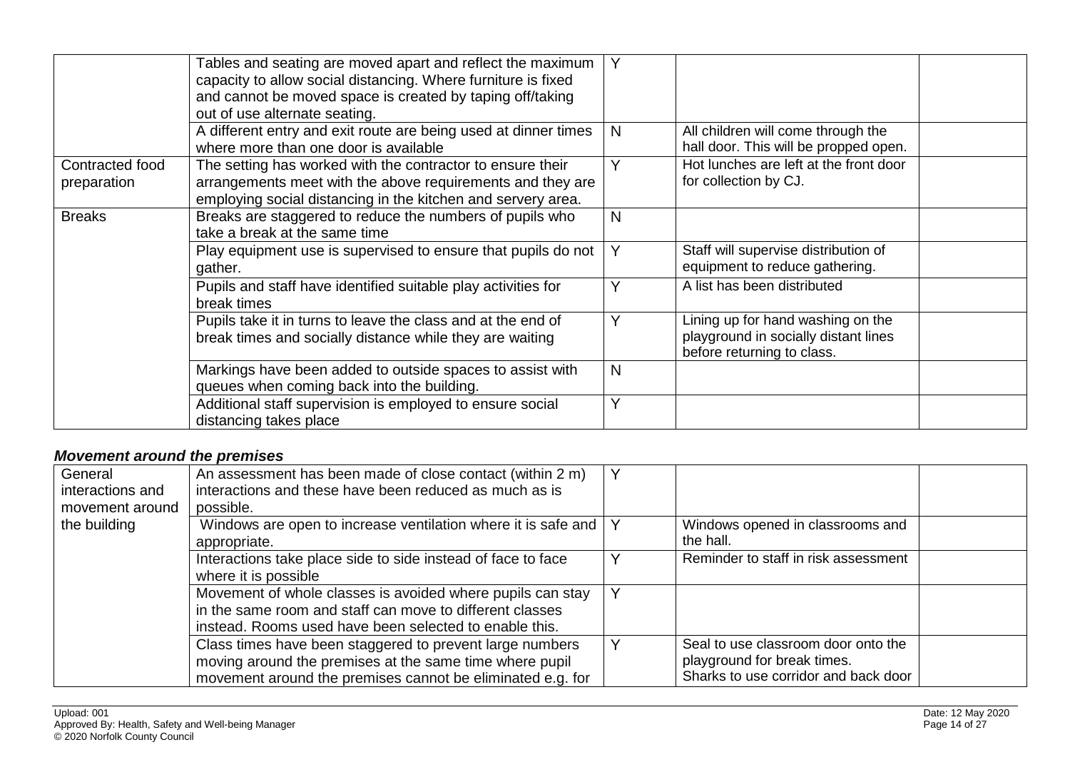|                                | Tables and seating are moved apart and reflect the maximum<br>capacity to allow social distancing. Where furniture is fixed<br>and cannot be moved space is created by taping off/taking<br>out of use alternate seating. | Y            |                                                                                                         |  |
|--------------------------------|---------------------------------------------------------------------------------------------------------------------------------------------------------------------------------------------------------------------------|--------------|---------------------------------------------------------------------------------------------------------|--|
|                                | A different entry and exit route are being used at dinner times<br>where more than one door is available                                                                                                                  | N            | All children will come through the<br>hall door. This will be propped open.                             |  |
| Contracted food<br>preparation | The setting has worked with the contractor to ensure their<br>arrangements meet with the above requirements and they are<br>employing social distancing in the kitchen and servery area.                                  | Y            | Hot lunches are left at the front door<br>for collection by CJ.                                         |  |
| <b>Breaks</b>                  | Breaks are staggered to reduce the numbers of pupils who<br>take a break at the same time                                                                                                                                 | N            |                                                                                                         |  |
|                                | Play equipment use is supervised to ensure that pupils do not<br>gather.                                                                                                                                                  |              | Staff will supervise distribution of<br>equipment to reduce gathering.                                  |  |
|                                | Pupils and staff have identified suitable play activities for<br>break times                                                                                                                                              | Υ            | A list has been distributed                                                                             |  |
|                                | Pupils take it in turns to leave the class and at the end of<br>break times and socially distance while they are waiting                                                                                                  | $\checkmark$ | Lining up for hand washing on the<br>playground in socially distant lines<br>before returning to class. |  |
|                                | Markings have been added to outside spaces to assist with<br>queues when coming back into the building.                                                                                                                   | N            |                                                                                                         |  |
|                                | Additional staff supervision is employed to ensure social<br>distancing takes place                                                                                                                                       | Y            |                                                                                                         |  |

#### *Movement around the premises*

<span id="page-13-0"></span>

| General<br>interactions and<br>movement around | An assessment has been made of close contact (within 2 m)<br>interactions and these have been reduced as much as is<br>possible.                                                  |                                                                                                            |  |
|------------------------------------------------|-----------------------------------------------------------------------------------------------------------------------------------------------------------------------------------|------------------------------------------------------------------------------------------------------------|--|
| the building                                   | Windows are open to increase ventilation where it is safe and<br>appropriate.                                                                                                     | Windows opened in classrooms and<br>the hall.                                                              |  |
|                                                | Interactions take place side to side instead of face to face<br>where it is possible                                                                                              | Reminder to staff in risk assessment                                                                       |  |
|                                                | Movement of whole classes is avoided where pupils can stay<br>in the same room and staff can move to different classes<br>instead. Rooms used have been selected to enable this.  |                                                                                                            |  |
|                                                | Class times have been staggered to prevent large numbers<br>moving around the premises at the same time where pupil<br>movement around the premises cannot be eliminated e.g. for | Seal to use classroom door onto the<br>playground for break times.<br>Sharks to use corridor and back door |  |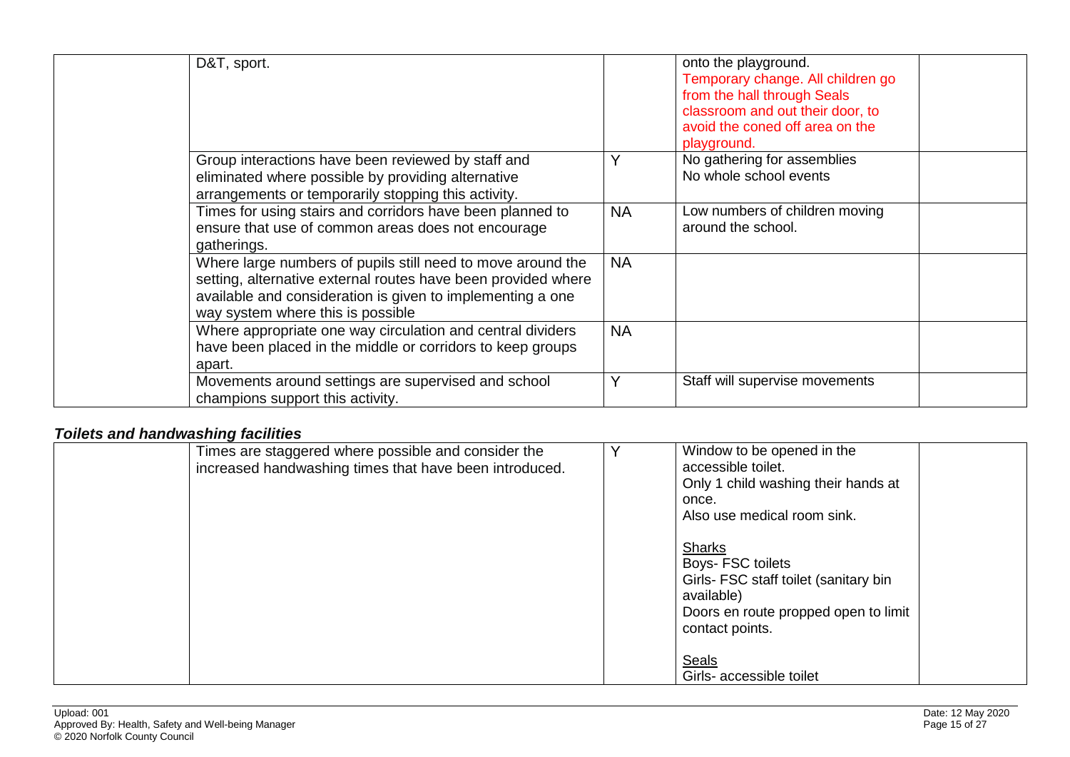| D&T, sport.                                                                                                                                                                                                                     |           | onto the playground.<br>Temporary change. All children go<br>from the hall through Seals<br>classroom and out their door, to<br>avoid the coned off area on the<br>playground. |  |
|---------------------------------------------------------------------------------------------------------------------------------------------------------------------------------------------------------------------------------|-----------|--------------------------------------------------------------------------------------------------------------------------------------------------------------------------------|--|
| Group interactions have been reviewed by staff and<br>eliminated where possible by providing alternative<br>arrangements or temporarily stopping this activity.                                                                 | Y         | No gathering for assemblies<br>No whole school events                                                                                                                          |  |
| Times for using stairs and corridors have been planned to<br>ensure that use of common areas does not encourage<br>gatherings.                                                                                                  | <b>NA</b> | Low numbers of children moving<br>around the school.                                                                                                                           |  |
| Where large numbers of pupils still need to move around the<br>setting, alternative external routes have been provided where<br>available and consideration is given to implementing a one<br>way system where this is possible | <b>NA</b> |                                                                                                                                                                                |  |
| Where appropriate one way circulation and central dividers<br>have been placed in the middle or corridors to keep groups<br>apart.                                                                                              | <b>NA</b> |                                                                                                                                                                                |  |
| Movements around settings are supervised and school<br>champions support this activity.                                                                                                                                         | Y         | Staff will supervise movements                                                                                                                                                 |  |

## *Toilets and handwashing facilities*

<span id="page-14-0"></span>

| Times are staggered where possible and consider the<br>increased handwashing times that have been introduced. | Window to be opened in the<br>accessible toilet.<br>Only 1 child washing their hands at<br>once.<br>Also use medical room sink.                      |  |
|---------------------------------------------------------------------------------------------------------------|------------------------------------------------------------------------------------------------------------------------------------------------------|--|
|                                                                                                               | <b>Sharks</b><br>Boys- FSC toilets<br>Girls- FSC staff toilet (sanitary bin<br>available)<br>Doors en route propped open to limit<br>contact points. |  |
|                                                                                                               | <b>Seals</b><br>Girls- accessible toilet                                                                                                             |  |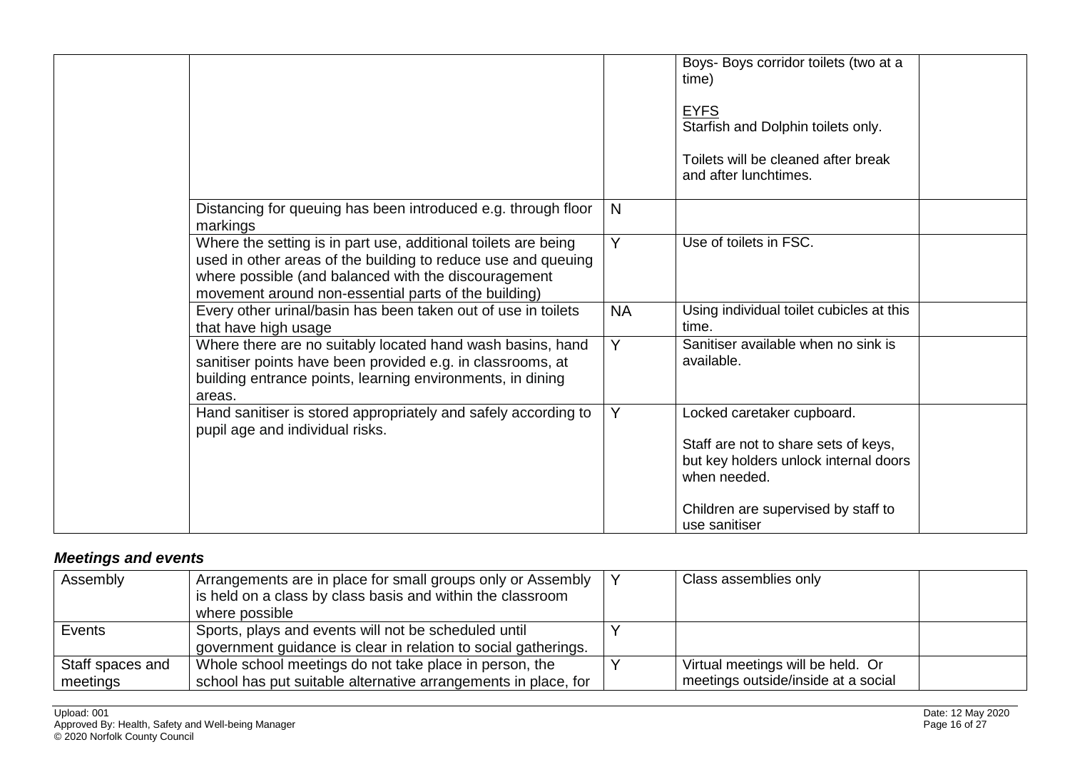|                                                                                                                                                                                                                                                 |           | Boys- Boys corridor toilets (two at a<br>time)                                                                                                                     |
|-------------------------------------------------------------------------------------------------------------------------------------------------------------------------------------------------------------------------------------------------|-----------|--------------------------------------------------------------------------------------------------------------------------------------------------------------------|
|                                                                                                                                                                                                                                                 |           | <b>EYFS</b><br>Starfish and Dolphin toilets only.                                                                                                                  |
|                                                                                                                                                                                                                                                 |           | Toilets will be cleaned after break<br>and after lunchtimes.                                                                                                       |
| Distancing for queuing has been introduced e.g. through floor<br>markings                                                                                                                                                                       | N         |                                                                                                                                                                    |
| Where the setting is in part use, additional toilets are being<br>used in other areas of the building to reduce use and queuing<br>where possible (and balanced with the discouragement<br>movement around non-essential parts of the building) | Y         | Use of toilets in FSC.                                                                                                                                             |
| Every other urinal/basin has been taken out of use in toilets<br>that have high usage                                                                                                                                                           | <b>NA</b> | Using individual toilet cubicles at this<br>time.                                                                                                                  |
| Where there are no suitably located hand wash basins, hand<br>sanitiser points have been provided e.g. in classrooms, at<br>building entrance points, learning environments, in dining<br>areas.                                                | Y         | Sanitiser available when no sink is<br>available.                                                                                                                  |
| Hand sanitiser is stored appropriately and safely according to<br>pupil age and individual risks.                                                                                                                                               | Y         | Locked caretaker cupboard.<br>Staff are not to share sets of keys,<br>but key holders unlock internal doors<br>when needed.<br>Children are supervised by staff to |
|                                                                                                                                                                                                                                                 |           | use sanitiser                                                                                                                                                      |

# *Meetings and events*

<span id="page-15-0"></span>

| Assembly         | Arrangements are in place for small groups only or Assembly<br>is held on a class by class basis and within the classroom<br>where possible | Class assemblies only               |  |
|------------------|---------------------------------------------------------------------------------------------------------------------------------------------|-------------------------------------|--|
| Events           | Sports, plays and events will not be scheduled until                                                                                        |                                     |  |
|                  | government guidance is clear in relation to social gatherings.                                                                              |                                     |  |
| Staff spaces and | Whole school meetings do not take place in person, the                                                                                      | Virtual meetings will be held. Or   |  |
| meetings         | school has put suitable alternative arrangements in place, for                                                                              | meetings outside/inside at a social |  |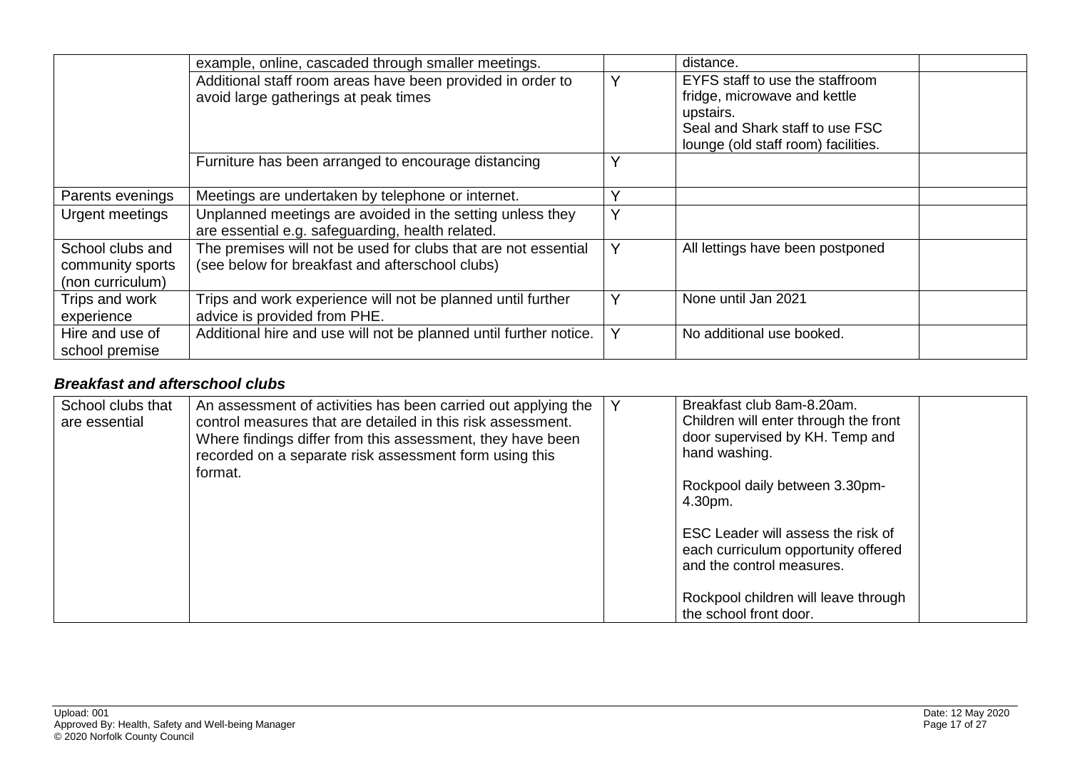|                  | example, online, cascaded through smaller meetings.               |              | distance.                           |  |
|------------------|-------------------------------------------------------------------|--------------|-------------------------------------|--|
|                  | Additional staff room areas have been provided in order to        |              | EYFS staff to use the staffroom     |  |
|                  | avoid large gatherings at peak times                              |              | fridge, microwave and kettle        |  |
|                  |                                                                   |              | upstairs.                           |  |
|                  |                                                                   |              | Seal and Shark staff to use FSC     |  |
|                  |                                                                   |              | lounge (old staff room) facilities. |  |
|                  | Furniture has been arranged to encourage distancing               | $\checkmark$ |                                     |  |
|                  |                                                                   |              |                                     |  |
| Parents evenings | Meetings are undertaken by telephone or internet.                 | $\checkmark$ |                                     |  |
| Urgent meetings  | Unplanned meetings are avoided in the setting unless they         | Y            |                                     |  |
|                  | are essential e.g. safeguarding, health related.                  |              |                                     |  |
| School clubs and | The premises will not be used for clubs that are not essential    |              | All lettings have been postponed    |  |
| community sports | (see below for breakfast and afterschool clubs)                   |              |                                     |  |
| (non curriculum) |                                                                   |              |                                     |  |
| Trips and work   | Trips and work experience will not be planned until further       |              | None until Jan 2021                 |  |
| experience       | advice is provided from PHE.                                      |              |                                     |  |
| Hire and use of  | Additional hire and use will not be planned until further notice. | Y            | No additional use booked.           |  |
| school premise   |                                                                   |              |                                     |  |

#### *Breakfast and afterschool clubs*

<span id="page-16-0"></span>

| School clubs that<br>are essential | An assessment of activities has been carried out applying the<br>control measures that are detailed in this risk assessment.<br>Where findings differ from this assessment, they have been<br>recorded on a separate risk assessment form using this<br>format. | Breakfast club 8am-8.20am.<br>Children will enter through the front<br>door supervised by KH. Temp and<br>hand washing.<br>Rockpool daily between 3.30pm-<br>4.30pm.     |
|------------------------------------|-----------------------------------------------------------------------------------------------------------------------------------------------------------------------------------------------------------------------------------------------------------------|--------------------------------------------------------------------------------------------------------------------------------------------------------------------------|
|                                    |                                                                                                                                                                                                                                                                 | ESC Leader will assess the risk of<br>each curriculum opportunity offered<br>and the control measures.<br>Rockpool children will leave through<br>the school front door. |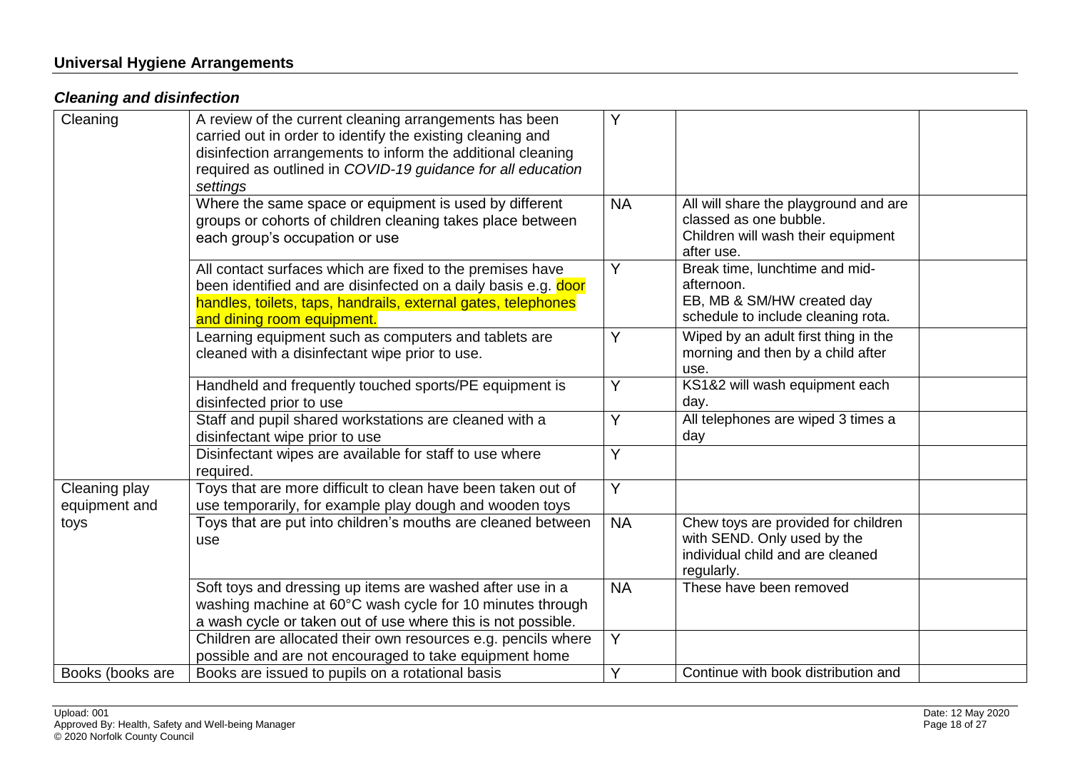#### **Universal Hygiene Arrangements**

## *Cleaning and disinfection*

<span id="page-17-1"></span><span id="page-17-0"></span>

| Cleaning                       | A review of the current cleaning arrangements has been<br>carried out in order to identify the existing cleaning and<br>disinfection arrangements to inform the additional cleaning<br>required as outlined in COVID-19 guidance for all education<br>settings | Y              |                                                                                                                      |  |
|--------------------------------|----------------------------------------------------------------------------------------------------------------------------------------------------------------------------------------------------------------------------------------------------------------|----------------|----------------------------------------------------------------------------------------------------------------------|--|
|                                | Where the same space or equipment is used by different<br>groups or cohorts of children cleaning takes place between<br>each group's occupation or use                                                                                                         | <b>NA</b>      | All will share the playground and are<br>classed as one bubble.<br>Children will wash their equipment<br>after use.  |  |
|                                | All contact surfaces which are fixed to the premises have<br>been identified and are disinfected on a daily basis e.g. door<br>handles, toilets, taps, handrails, external gates, telephones<br>and dining room equipment.                                     | Y              | Break time, lunchtime and mid-<br>afternoon.<br>EB, MB & SM/HW created day<br>schedule to include cleaning rota.     |  |
|                                | Learning equipment such as computers and tablets are<br>cleaned with a disinfectant wipe prior to use.                                                                                                                                                         | Y              | Wiped by an adult first thing in the<br>morning and then by a child after<br>use.                                    |  |
|                                | Handheld and frequently touched sports/PE equipment is<br>disinfected prior to use                                                                                                                                                                             | Y              | KS1&2 will wash equipment each<br>day.                                                                               |  |
|                                | Staff and pupil shared workstations are cleaned with a<br>disinfectant wipe prior to use                                                                                                                                                                       | Y              | All telephones are wiped 3 times a<br>day                                                                            |  |
|                                | Disinfectant wipes are available for staff to use where<br>required.                                                                                                                                                                                           | Y              |                                                                                                                      |  |
| Cleaning play<br>equipment and | Toys that are more difficult to clean have been taken out of<br>use temporarily, for example play dough and wooden toys                                                                                                                                        | $\overline{Y}$ |                                                                                                                      |  |
| toys                           | Toys that are put into children's mouths are cleaned between<br>use                                                                                                                                                                                            | <b>NA</b>      | Chew toys are provided for children<br>with SEND. Only used by the<br>individual child and are cleaned<br>regularly. |  |
|                                | Soft toys and dressing up items are washed after use in a<br>washing machine at 60°C wash cycle for 10 minutes through<br>a wash cycle or taken out of use where this is not possible.                                                                         | <b>NA</b>      | These have been removed                                                                                              |  |
|                                | Children are allocated their own resources e.g. pencils where<br>possible and are not encouraged to take equipment home                                                                                                                                        | Y              |                                                                                                                      |  |
| Books (books are               | Books are issued to pupils on a rotational basis                                                                                                                                                                                                               | Y              | Continue with book distribution and                                                                                  |  |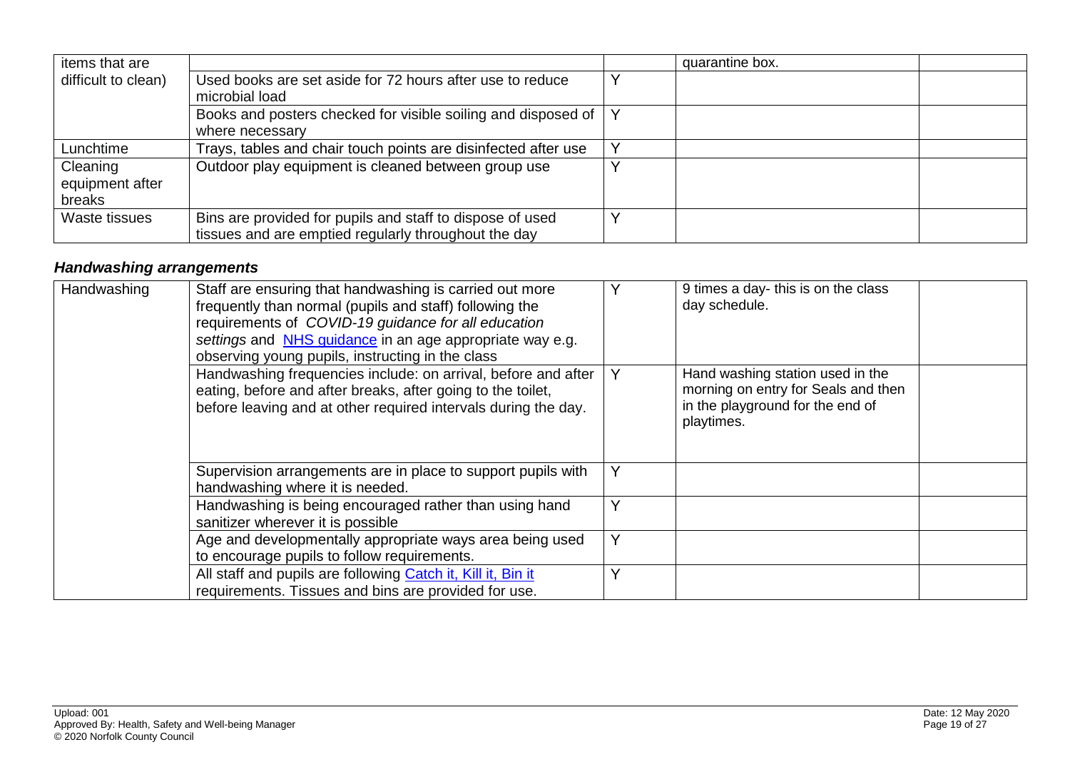| items that are      |                                                                | quarantine box. |  |
|---------------------|----------------------------------------------------------------|-----------------|--|
| difficult to clean) | Used books are set aside for 72 hours after use to reduce      |                 |  |
|                     | microbial load                                                 |                 |  |
|                     | Books and posters checked for visible soiling and disposed of  |                 |  |
|                     | where necessary                                                |                 |  |
| Lunchtime           | Trays, tables and chair touch points are disinfected after use |                 |  |
| Cleaning            | Outdoor play equipment is cleaned between group use            |                 |  |
| equipment after     |                                                                |                 |  |
| breaks              |                                                                |                 |  |
| Waste tissues       | Bins are provided for pupils and staff to dispose of used      |                 |  |
|                     | tissues and are emptied regularly throughout the day           |                 |  |

# *Handwashing arrangements*

<span id="page-18-0"></span>

| Handwashing | Staff are ensuring that handwashing is carried out more<br>frequently than normal (pupils and staff) following the<br>requirements of COVID-19 guidance for all education<br>settings and NHS guidance in an age appropriate way e.g.<br>observing young pupils, instructing in the class |   | 9 times a day- this is on the class<br>day schedule.                                                                      |  |
|-------------|-------------------------------------------------------------------------------------------------------------------------------------------------------------------------------------------------------------------------------------------------------------------------------------------|---|---------------------------------------------------------------------------------------------------------------------------|--|
|             | Handwashing frequencies include: on arrival, before and after<br>eating, before and after breaks, after going to the toilet,<br>before leaving and at other required intervals during the day.                                                                                            |   | Hand washing station used in the<br>morning on entry for Seals and then<br>in the playground for the end of<br>playtimes. |  |
|             | Supervision arrangements are in place to support pupils with<br>handwashing where it is needed.                                                                                                                                                                                           | v |                                                                                                                           |  |
|             | Handwashing is being encouraged rather than using hand<br>sanitizer wherever it is possible                                                                                                                                                                                               |   |                                                                                                                           |  |
|             | Age and developmentally appropriate ways area being used<br>to encourage pupils to follow requirements.                                                                                                                                                                                   | Y |                                                                                                                           |  |
|             | All staff and pupils are following Catch it, Kill it, Bin it<br>requirements. Tissues and bins are provided for use.                                                                                                                                                                      |   |                                                                                                                           |  |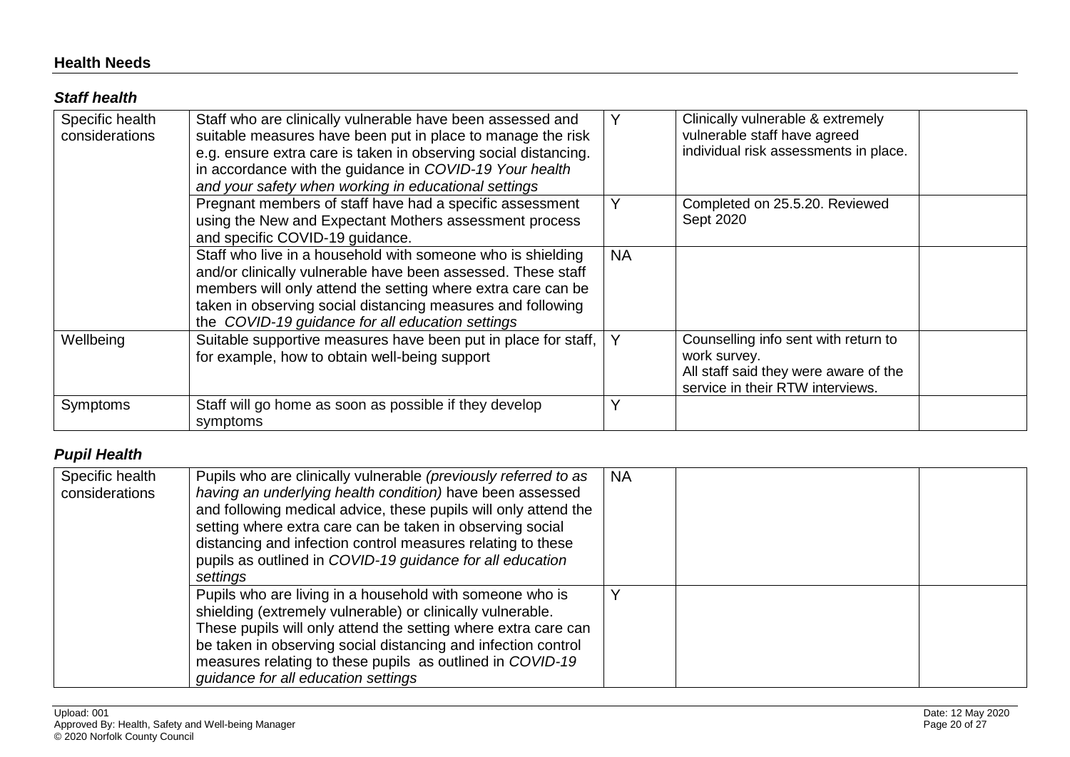#### **Health Needs**

#### *Staff health*

| Specific health<br>considerations | Staff who are clinically vulnerable have been assessed and<br>suitable measures have been put in place to manage the risk<br>e.g. ensure extra care is taken in observing social distancing.<br>in accordance with the guidance in COVID-19 Your health<br>and your safety when working in educational settings |           | Clinically vulnerable & extremely<br>vulnerable staff have agreed<br>individual risk assessments in place.                        |  |
|-----------------------------------|-----------------------------------------------------------------------------------------------------------------------------------------------------------------------------------------------------------------------------------------------------------------------------------------------------------------|-----------|-----------------------------------------------------------------------------------------------------------------------------------|--|
|                                   | Pregnant members of staff have had a specific assessment<br>using the New and Expectant Mothers assessment process<br>and specific COVID-19 guidance.                                                                                                                                                           | Y         | Completed on 25.5.20. Reviewed<br>Sept 2020                                                                                       |  |
|                                   | Staff who live in a household with someone who is shielding<br>and/or clinically vulnerable have been assessed. These staff<br>members will only attend the setting where extra care can be<br>taken in observing social distancing measures and following<br>the COVID-19 guidance for all education settings  | <b>NA</b> |                                                                                                                                   |  |
| Wellbeing                         | Suitable supportive measures have been put in place for staff,<br>for example, how to obtain well-being support                                                                                                                                                                                                 | Y         | Counselling info sent with return to<br>work survey.<br>All staff said they were aware of the<br>service in their RTW interviews. |  |
| Symptoms                          | Staff will go home as soon as possible if they develop<br>symptoms                                                                                                                                                                                                                                              | Y         |                                                                                                                                   |  |

## <span id="page-19-1"></span><span id="page-19-0"></span>*Pupil Health*

<span id="page-19-2"></span>

| Specific health<br>considerations | Pupils who are clinically vulnerable (previously referred to as<br>having an underlying health condition) have been assessed<br>and following medical advice, these pupils will only attend the<br>setting where extra care can be taken in observing social<br>distancing and infection control measures relating to these<br>pupils as outlined in COVID-19 guidance for all education<br>settings | <b>NA</b> |  |
|-----------------------------------|------------------------------------------------------------------------------------------------------------------------------------------------------------------------------------------------------------------------------------------------------------------------------------------------------------------------------------------------------------------------------------------------------|-----------|--|
|                                   | Pupils who are living in a household with someone who is<br>shielding (extremely vulnerable) or clinically vulnerable.<br>These pupils will only attend the setting where extra care can<br>be taken in observing social distancing and infection control<br>measures relating to these pupils as outlined in COVID-19<br>guidance for all education settings                                        |           |  |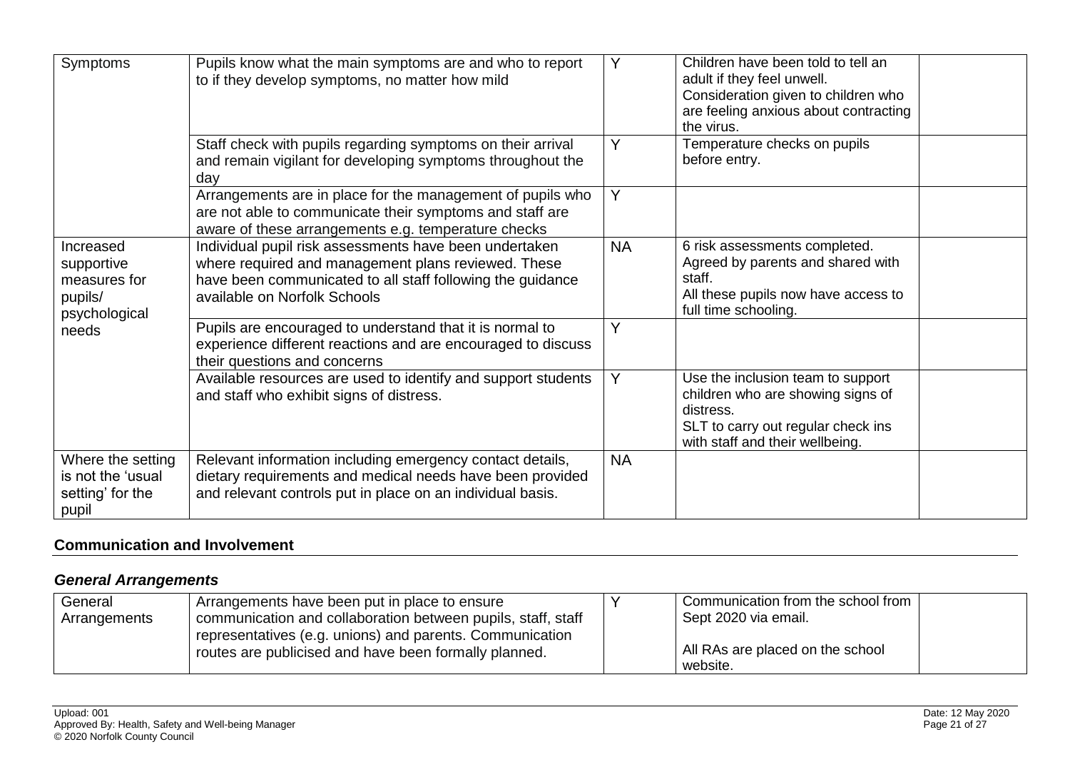| Symptoms                                                            | Pupils know what the main symptoms are and who to report<br>to if they develop symptoms, no matter how mild                                                                                                 | Y              | Children have been told to tell an<br>adult if they feel unwell.<br>Consideration given to children who<br>are feeling anxious about contracting<br>the virus. |
|---------------------------------------------------------------------|-------------------------------------------------------------------------------------------------------------------------------------------------------------------------------------------------------------|----------------|----------------------------------------------------------------------------------------------------------------------------------------------------------------|
|                                                                     | Staff check with pupils regarding symptoms on their arrival<br>and remain vigilant for developing symptoms throughout the<br>day                                                                            | Y              | Temperature checks on pupils<br>before entry.                                                                                                                  |
|                                                                     | Arrangements are in place for the management of pupils who<br>are not able to communicate their symptoms and staff are<br>aware of these arrangements e.g. temperature checks                               | $\overline{Y}$ |                                                                                                                                                                |
| Increased<br>supportive<br>measures for<br>pupils/<br>psychological | Individual pupil risk assessments have been undertaken<br>where required and management plans reviewed. These<br>have been communicated to all staff following the guidance<br>available on Norfolk Schools | <b>NA</b>      | 6 risk assessments completed.<br>Agreed by parents and shared with<br>staff.<br>All these pupils now have access to<br>full time schooling.                    |
| needs                                                               | Pupils are encouraged to understand that it is normal to<br>experience different reactions and are encouraged to discuss<br>their questions and concerns                                                    | Y              |                                                                                                                                                                |
|                                                                     | Available resources are used to identify and support students<br>and staff who exhibit signs of distress.                                                                                                   | Y              | Use the inclusion team to support<br>children who are showing signs of<br>distress.<br>SLT to carry out regular check ins<br>with staff and their wellbeing.   |
| Where the setting<br>is not the 'usual<br>setting' for the<br>pupil | Relevant information including emergency contact details,<br>dietary requirements and medical needs have been provided<br>and relevant controls put in place on an individual basis.                        | <b>NA</b>      |                                                                                                                                                                |

#### **Communication and Involvement**

# *General Arrangements*

<span id="page-20-1"></span><span id="page-20-0"></span>

| General<br>Arrangements | Arrangements have been put in place to ensure<br>communication and collaboration between pupils, staff, staff     | Communication from the school from<br>Sept 2020 via email. |  |
|-------------------------|-------------------------------------------------------------------------------------------------------------------|------------------------------------------------------------|--|
|                         | representatives (e.g. unions) and parents. Communication<br>routes are publicised and have been formally planned. | All RAs are placed on the school<br>website.               |  |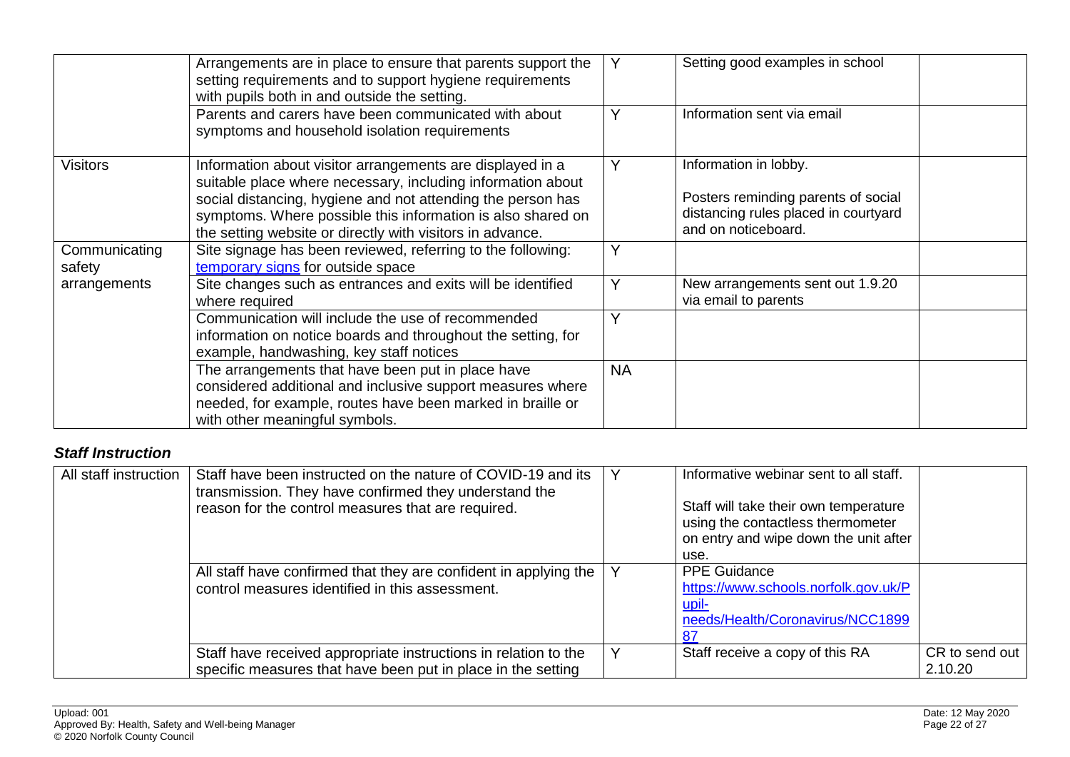|                         | Arrangements are in place to ensure that parents support the<br>setting requirements and to support hygiene requirements<br>with pupils both in and outside the setting.                                                                                                                                            |           | Setting good examples in school                                                                                             |  |
|-------------------------|---------------------------------------------------------------------------------------------------------------------------------------------------------------------------------------------------------------------------------------------------------------------------------------------------------------------|-----------|-----------------------------------------------------------------------------------------------------------------------------|--|
|                         | Parents and carers have been communicated with about<br>symptoms and household isolation requirements                                                                                                                                                                                                               |           | Information sent via email                                                                                                  |  |
| <b>Visitors</b>         | Information about visitor arrangements are displayed in a<br>suitable place where necessary, including information about<br>social distancing, hygiene and not attending the person has<br>symptoms. Where possible this information is also shared on<br>the setting website or directly with visitors in advance. | Υ         | Information in lobby.<br>Posters reminding parents of social<br>distancing rules placed in courtyard<br>and on noticeboard. |  |
| Communicating<br>safety | Site signage has been reviewed, referring to the following:<br>temporary signs for outside space                                                                                                                                                                                                                    |           |                                                                                                                             |  |
| arrangements            | Site changes such as entrances and exits will be identified<br>where required                                                                                                                                                                                                                                       | Y         | New arrangements sent out 1.9.20<br>via email to parents                                                                    |  |
|                         | Communication will include the use of recommended<br>information on notice boards and throughout the setting, for<br>example, handwashing, key staff notices                                                                                                                                                        | Υ         |                                                                                                                             |  |
|                         | The arrangements that have been put in place have<br>considered additional and inclusive support measures where<br>needed, for example, routes have been marked in braille or<br>with other meaningful symbols.                                                                                                     | <b>NA</b> |                                                                                                                             |  |

## *Staff Instruction*

<span id="page-21-0"></span>

| All staff instruction | Staff have been instructed on the nature of COVID-19 and its<br>transmission. They have confirmed they understand the<br>reason for the control measures that are required. | Informative webinar sent to all staff.<br>Staff will take their own temperature<br>using the contactless thermometer<br>on entry and wipe down the unit after<br>use. |                           |
|-----------------------|-----------------------------------------------------------------------------------------------------------------------------------------------------------------------------|-----------------------------------------------------------------------------------------------------------------------------------------------------------------------|---------------------------|
|                       | All staff have confirmed that they are confident in applying the<br>control measures identified in this assessment.                                                         | <b>PPE Guidance</b><br>https://www.schools.norfolk.gov.uk/P<br>upil-<br>needs/Health/Coronavirus/NCC1899                                                              |                           |
|                       | Staff have received appropriate instructions in relation to the<br>specific measures that have been put in place in the setting                                             | Staff receive a copy of this RA                                                                                                                                       | CR to send out<br>2.10.20 |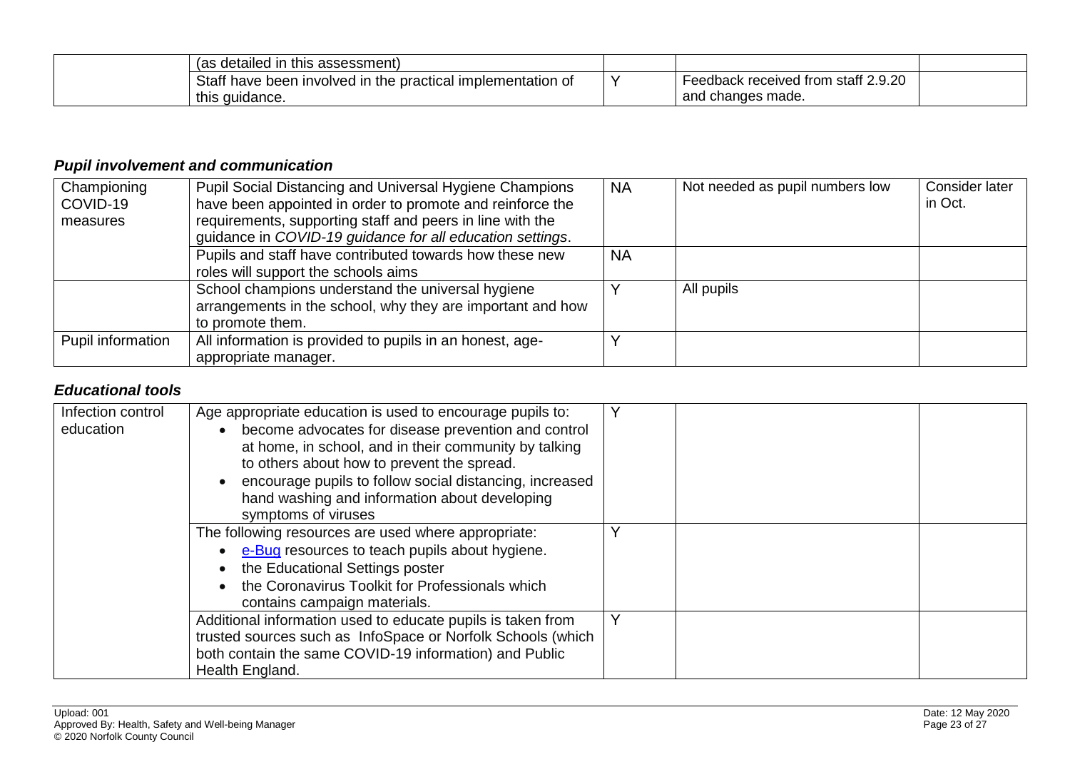| (as detailed in this assessment)                                           |                                     |  |
|----------------------------------------------------------------------------|-------------------------------------|--|
| Staff have been involved in the practical implementation $\epsilon$<br>ושו | Feedback received from staff 2.9.20 |  |
| this guidance.                                                             | and changes made.                   |  |

## *Pupil involvement and communication*

| Championing<br>COVID-19<br>measures | Pupil Social Distancing and Universal Hygiene Champions<br>have been appointed in order to promote and reinforce the<br>requirements, supporting staff and peers in line with the<br>guidance in COVID-19 guidance for all education settings. | <b>NA</b> | Not needed as pupil numbers low | Consider later<br>in Oct. |
|-------------------------------------|------------------------------------------------------------------------------------------------------------------------------------------------------------------------------------------------------------------------------------------------|-----------|---------------------------------|---------------------------|
|                                     | Pupils and staff have contributed towards how these new<br>roles will support the schools aims                                                                                                                                                 | <b>NA</b> |                                 |                           |
|                                     | School champions understand the universal hygiene<br>arrangements in the school, why they are important and how<br>to promote them.                                                                                                            |           | All pupils                      |                           |
| Pupil information                   | All information is provided to pupils in an honest, age-<br>appropriate manager.                                                                                                                                                               |           |                                 |                           |

### *Educational tools*

<span id="page-22-1"></span><span id="page-22-0"></span>

| Infection control<br>education | Age appropriate education is used to encourage pupils to:<br>become advocates for disease prevention and control<br>at home, in school, and in their community by talking<br>to others about how to prevent the spread.<br>encourage pupils to follow social distancing, increased<br>hand washing and information about developing<br>symptoms of viruses |  |
|--------------------------------|------------------------------------------------------------------------------------------------------------------------------------------------------------------------------------------------------------------------------------------------------------------------------------------------------------------------------------------------------------|--|
|                                | The following resources are used where appropriate:<br>e-Bug resources to teach pupils about hygiene.<br>the Educational Settings poster<br>the Coronavirus Toolkit for Professionals which<br>contains campaign materials.                                                                                                                                |  |
|                                | Additional information used to educate pupils is taken from<br>trusted sources such as InfoSpace or Norfolk Schools (which<br>both contain the same COVID-19 information) and Public<br>Health England.                                                                                                                                                    |  |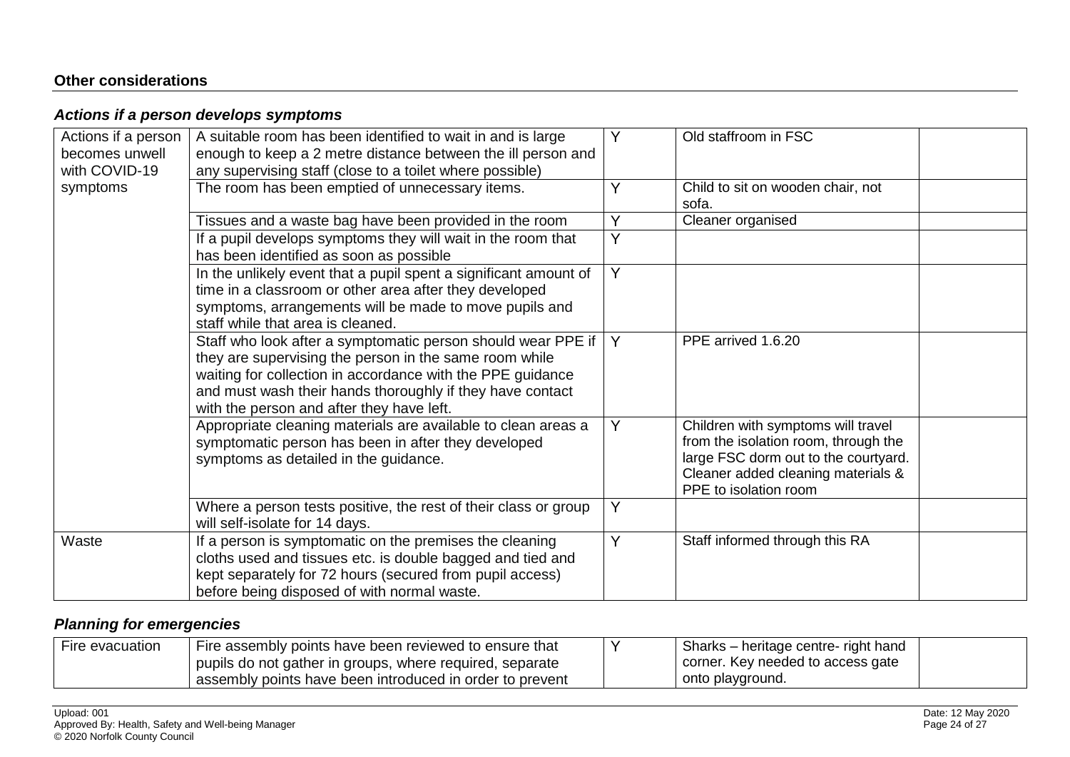### **Other considerations**

## *Actions if a person develops symptoms*

| Actions if a person<br>becomes unwell<br>with COVID-19 | A suitable room has been identified to wait in and is large<br>enough to keep a 2 metre distance between the ill person and<br>any supervising staff (close to a toilet where possible)                                                                                                        | Y | Old staffroom in FSC                                                                                                                                                              |  |
|--------------------------------------------------------|------------------------------------------------------------------------------------------------------------------------------------------------------------------------------------------------------------------------------------------------------------------------------------------------|---|-----------------------------------------------------------------------------------------------------------------------------------------------------------------------------------|--|
| symptoms                                               | The room has been emptied of unnecessary items.                                                                                                                                                                                                                                                | Y | Child to sit on wooden chair, not<br>sofa.                                                                                                                                        |  |
|                                                        | Tissues and a waste bag have been provided in the room                                                                                                                                                                                                                                         | Y | Cleaner organised                                                                                                                                                                 |  |
|                                                        | If a pupil develops symptoms they will wait in the room that<br>has been identified as soon as possible                                                                                                                                                                                        | Y |                                                                                                                                                                                   |  |
|                                                        | In the unlikely event that a pupil spent a significant amount of<br>time in a classroom or other area after they developed<br>symptoms, arrangements will be made to move pupils and<br>staff while that area is cleaned.                                                                      | Y |                                                                                                                                                                                   |  |
|                                                        | Staff who look after a symptomatic person should wear PPE if<br>they are supervising the person in the same room while<br>waiting for collection in accordance with the PPE guidance<br>and must wash their hands thoroughly if they have contact<br>with the person and after they have left. | Y | PPE arrived 1.6.20                                                                                                                                                                |  |
|                                                        | Appropriate cleaning materials are available to clean areas a<br>symptomatic person has been in after they developed<br>symptoms as detailed in the guidance.                                                                                                                                  | Y | Children with symptoms will travel<br>from the isolation room, through the<br>large FSC dorm out to the courtyard.<br>Cleaner added cleaning materials &<br>PPE to isolation room |  |
|                                                        | Where a person tests positive, the rest of their class or group<br>will self-isolate for 14 days.                                                                                                                                                                                              | Y |                                                                                                                                                                                   |  |
| Waste                                                  | If a person is symptomatic on the premises the cleaning<br>cloths used and tissues etc. is double bagged and tied and<br>kept separately for 72 hours (secured from pupil access)<br>before being disposed of with normal waste.                                                               | Y | Staff informed through this RA                                                                                                                                                    |  |

## <span id="page-23-1"></span><span id="page-23-0"></span>*Planning for emergencies*

<span id="page-23-2"></span>

| Fire evacuation | Fire assembly points have been reviewed to ensure that   | Sharks – heritage centre- right hand |
|-----------------|----------------------------------------------------------|--------------------------------------|
|                 | pupils do not gather in groups, where required, separate | corner. Key needed to access gate    |
|                 | assembly points have been introduced in order to prevent | onto playground.                     |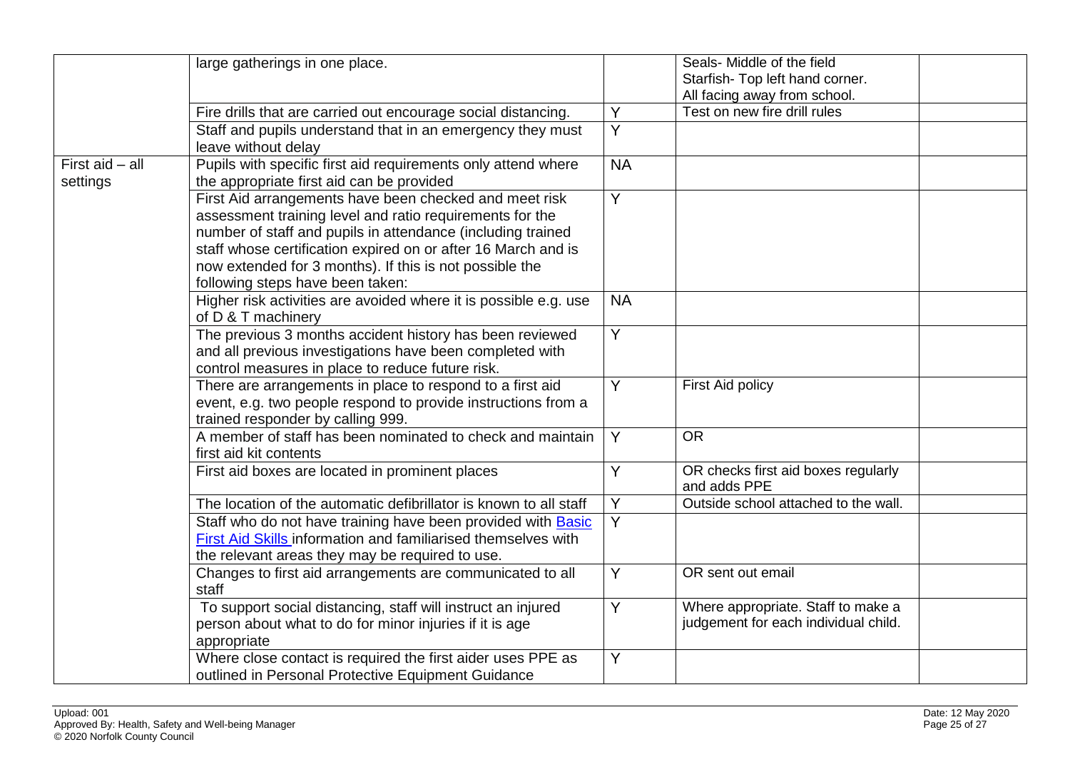|                             | large gatherings in one place.                                                                                                                                                                                                                                                                                                                    |                | Seals- Middle of the field<br>Starfish- Top left hand corner.              |
|-----------------------------|---------------------------------------------------------------------------------------------------------------------------------------------------------------------------------------------------------------------------------------------------------------------------------------------------------------------------------------------------|----------------|----------------------------------------------------------------------------|
|                             |                                                                                                                                                                                                                                                                                                                                                   |                | All facing away from school.                                               |
|                             | Fire drills that are carried out encourage social distancing.                                                                                                                                                                                                                                                                                     | Y              | Test on new fire drill rules                                               |
|                             | Staff and pupils understand that in an emergency they must<br>leave without delay                                                                                                                                                                                                                                                                 | $\overline{Y}$ |                                                                            |
| First aid - all<br>settings | Pupils with specific first aid requirements only attend where<br>the appropriate first aid can be provided                                                                                                                                                                                                                                        | <b>NA</b>      |                                                                            |
|                             | First Aid arrangements have been checked and meet risk<br>assessment training level and ratio requirements for the<br>number of staff and pupils in attendance (including trained<br>staff whose certification expired on or after 16 March and is<br>now extended for 3 months). If this is not possible the<br>following steps have been taken: | Y              |                                                                            |
|                             | Higher risk activities are avoided where it is possible e.g. use<br>of D & T machinery                                                                                                                                                                                                                                                            | <b>NA</b>      |                                                                            |
|                             | The previous 3 months accident history has been reviewed<br>and all previous investigations have been completed with<br>control measures in place to reduce future risk.                                                                                                                                                                          | Y              |                                                                            |
|                             | There are arrangements in place to respond to a first aid<br>event, e.g. two people respond to provide instructions from a<br>trained responder by calling 999.                                                                                                                                                                                   | Y              | First Aid policy                                                           |
|                             | A member of staff has been nominated to check and maintain<br>first aid kit contents                                                                                                                                                                                                                                                              | Y              | <b>OR</b>                                                                  |
|                             | First aid boxes are located in prominent places                                                                                                                                                                                                                                                                                                   | Y              | OR checks first aid boxes regularly<br>and adds PPE                        |
|                             | The location of the automatic defibrillator is known to all staff                                                                                                                                                                                                                                                                                 | Y              | Outside school attached to the wall.                                       |
|                             | Staff who do not have training have been provided with Basic<br>First Aid Skills information and familiarised themselves with<br>the relevant areas they may be required to use.                                                                                                                                                                  | $\overline{Y}$ |                                                                            |
|                             | Changes to first aid arrangements are communicated to all<br>staff                                                                                                                                                                                                                                                                                | Y              | OR sent out email                                                          |
|                             | To support social distancing, staff will instruct an injured<br>person about what to do for minor injuries if it is age<br>appropriate                                                                                                                                                                                                            | Y              | Where appropriate. Staff to make a<br>judgement for each individual child. |
|                             | Where close contact is required the first aider uses PPE as<br>outlined in Personal Protective Equipment Guidance                                                                                                                                                                                                                                 | Y              |                                                                            |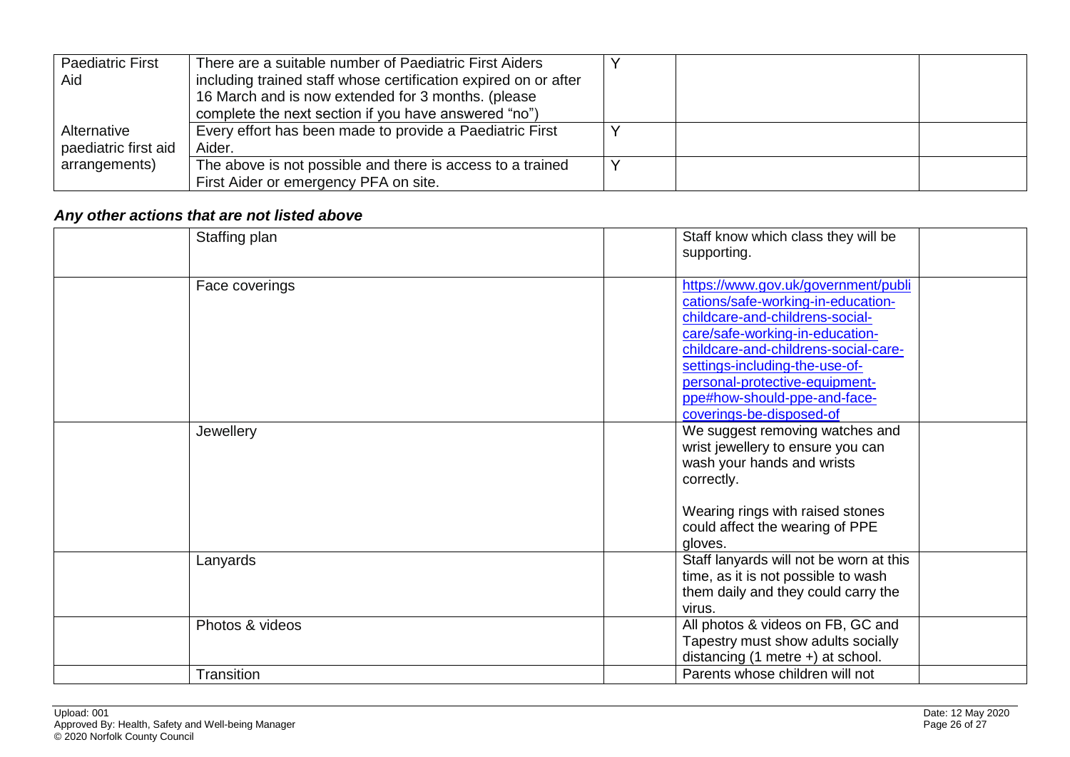| <b>Paediatric First</b> | There are a suitable number of Paediatric First Aiders          |  |  |
|-------------------------|-----------------------------------------------------------------|--|--|
| Aid                     | including trained staff whose certification expired on or after |  |  |
|                         | 16 March and is now extended for 3 months. (please              |  |  |
|                         | complete the next section if you have answered "no")            |  |  |
| Alternative             | Every effort has been made to provide a Paediatric First        |  |  |
| paediatric first aid    | Aider.                                                          |  |  |
| arrangements)           | The above is not possible and there is access to a trained      |  |  |
|                         | First Aider or emergency PFA on site.                           |  |  |

# *Any other actions that are not listed above*

<span id="page-25-0"></span>

| Staffing plan   | Staff know which class they will be<br>supporting.                                                                                                                                                                                                                                                                      |
|-----------------|-------------------------------------------------------------------------------------------------------------------------------------------------------------------------------------------------------------------------------------------------------------------------------------------------------------------------|
| Face coverings  | https://www.gov.uk/government/publi<br>cations/safe-working-in-education-<br>childcare-and-childrens-social-<br>care/safe-working-in-education-<br>childcare-and-childrens-social-care-<br>settings-including-the-use-of-<br>personal-protective-equipment-<br>ppe#how-should-ppe-and-face-<br>coverings-be-disposed-of |
| Jewellery       | We suggest removing watches and<br>wrist jewellery to ensure you can<br>wash your hands and wrists<br>correctly.<br>Wearing rings with raised stones<br>could affect the wearing of PPE<br>gloves.                                                                                                                      |
| Lanyards        | Staff lanyards will not be worn at this<br>time, as it is not possible to wash<br>them daily and they could carry the<br>virus.                                                                                                                                                                                         |
| Photos & videos | All photos & videos on FB, GC and<br>Tapestry must show adults socially<br>distancing $(1$ metre $+)$ at school.                                                                                                                                                                                                        |
| Transition      | Parents whose children will not                                                                                                                                                                                                                                                                                         |